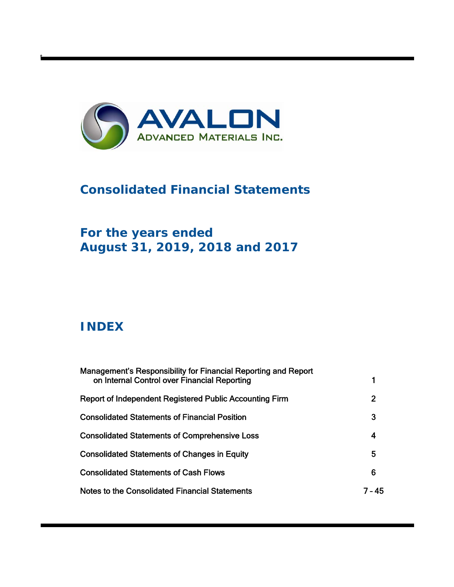

# **Consolidated Financial Statements**

# **For the years ended August 31, 2019, 2018 and 2017**

# **INDEX**

t

| Management's Responsibility for Financial Reporting and Report<br>on Internal Control over Financial Reporting |        |
|----------------------------------------------------------------------------------------------------------------|--------|
| <b>Report of Independent Registered Public Accounting Firm</b>                                                 | 2      |
| <b>Consolidated Statements of Financial Position</b>                                                           | 3      |
| <b>Consolidated Statements of Comprehensive Loss</b>                                                           | 4      |
| <b>Consolidated Statements of Changes in Equity</b>                                                            | 5      |
| <b>Consolidated Statements of Cash Flows</b>                                                                   | 6      |
| Notes to the Consolidated Financial Statements                                                                 | 7 - 45 |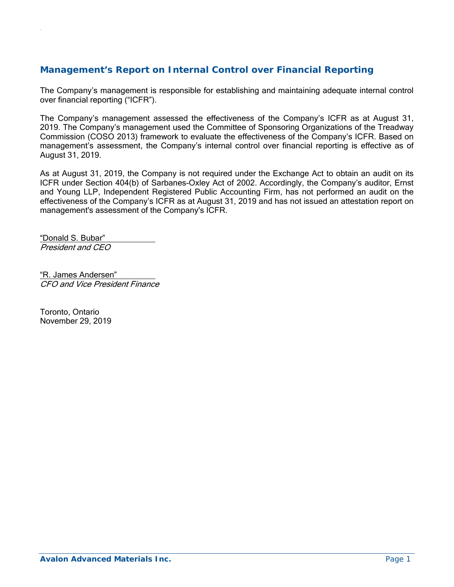# **Management's Report on Internal Control over Financial Reporting**

The Company's management is responsible for establishing and maintaining adequate internal control over financial reporting ("ICFR").

The Company's management assessed the effectiveness of the Company's ICFR as at August 31, 2019. The Company's management used the Committee of Sponsoring Organizations of the Treadway Commission (COSO 2013) framework to evaluate the effectiveness of the Company's ICFR. Based on management's assessment, the Company's internal control over financial reporting is effective as of August 31, 2019.

As at August 31, 2019, the Company is not required under the Exchange Act to obtain an audit on its ICFR under Section 404(b) of Sarbanes-Oxley Act of 2002. Accordingly, the Company's auditor, Ernst and Young LLP, Independent Registered Public Accounting Firm, has not performed an audit on the effectiveness of the Company's ICFR as at August 31, 2019 and has not issued an attestation report on management's assessment of the Company's ICFR.

"Donald S. Bubar" President and CEO

.

"R. James Andersen" CFO and Vice President Finance

Toronto, Ontario November 29, 2019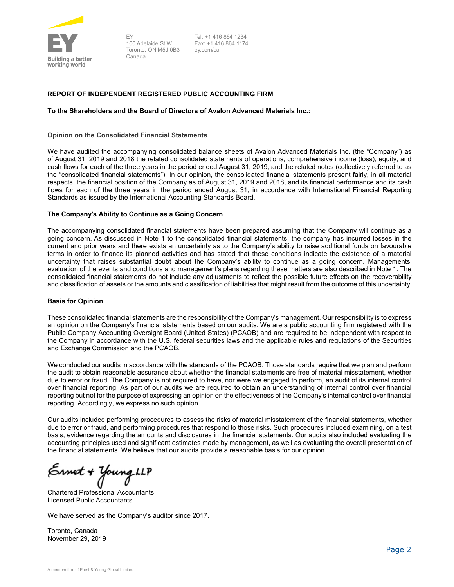

EY 100 Adelaide St W Toronto, ON M5J 0B3 Canada

Tel: +1 416 864 1234 Fax: +1 416 864 1174 ey.com/ca

#### **REPORT OF INDEPENDENT REGISTERED PUBLIC ACCOUNTING FIRM**

#### **To the Shareholders and the Board of Directors of Avalon Advanced Materials Inc.:**

#### **Opinion on the Consolidated Financial Statements**

We have audited the accompanying consolidated balance sheets of Avalon Advanced Materials Inc. (the "Company") as of August 31, 2019 and 2018 the related consolidated statements of operations, comprehensive income (loss), equity, and cash flows for each of the three years in the period ended August 31, 2019, and the related notes (collectively referred to as the "consolidated financial statements"). In our opinion, the consolidated financial statements present fairly, in all material respects, the financial position of the Company as of August 31, 2019 and 2018, and its financial performance and its cash flows for each of the three years in the period ended August 31, in accordance with International Financial Reporting Standards as issued by the International Accounting Standards Board.

#### **The Company's Ability to Continue as a Going Concern**

The accompanying consolidated financial statements have been prepared assuming that the Company will continue as a going concern. As discussed in Note 1 to the consolidated financial statements, the company has incurred losses in the current and prior years and there exists an uncertainty as to the Company's ability to raise additional funds on favourable terms in order to finance its planned activities and has stated that these conditions indicate the existence of a material uncertainty that raises substantial doubt about the Company's ability to continue as a going concern. Managements evaluation of the events and conditions and management's plans regarding these matters are also described in Note 1. The consolidated financial statements do not include any adjustments to reflect the possible future effects on the recoverability and classification of assets or the amounts and classification of liabilities that might result from the outcome of this uncertainty.

#### **Basis for Opinion**

These consolidated financial statements are the responsibility of the Company's management. Our responsibility is to express an opinion on the Company's financial statements based on our audits. We are a public accounting firm registered with the Public Company Accounting Oversight Board (United States) (PCAOB) and are required to be independent with respect to the Company in accordance with the U.S. federal securities laws and the applicable rules and regulations of the Securities and Exchange Commission and the PCAOB.

We conducted our audits in accordance with the standards of the PCAOB. Those standards require that we plan and perform the audit to obtain reasonable assurance about whether the financial statements are free of material misstatement, whether due to error or fraud. The Company is not required to have, nor were we engaged to perform, an audit of its internal control over financial reporting. As part of our audits we are required to obtain an understanding of internal control over financial reporting but not for the purpose of expressing an opinion on the effectiveness of the Company's internal control over financial reporting. Accordingly, we express no such opinion.

Our audits included performing procedures to assess the risks of material misstatement of the financial statements, whether due to error or fraud, and performing procedures that respond to those risks. Such procedures included examining, on a test basis, evidence regarding the amounts and disclosures in the financial statements. Our audits also included evaluating the accounting principles used and significant estimates made by management, as well as evaluating the overall presentation of the financial statements. We believe that our audits provide a reasonable basis for our opinion.

Ernet + Young ilf

Chartered Professional Accountants Licensed Public Accountants

We have served as the Company's auditor since 2017.

Toronto, Canada November 29, 2019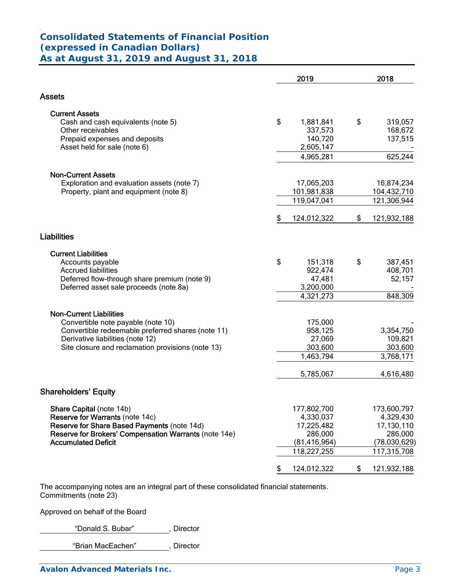#### . **Consolidated Statements of Financial Position (expressed in Canadian Dollars) As at August 31, 2019 and August 31, 2018**

|                                                                                                      |    | 2019                    | 2018                  |
|------------------------------------------------------------------------------------------------------|----|-------------------------|-----------------------|
| <b>Assets</b>                                                                                        |    |                         |                       |
| <b>Current Assets</b>                                                                                |    |                         |                       |
| Cash and cash equivalents (note 5)                                                                   | \$ | 1,881,841               | \$<br>319,057         |
| Other receivables                                                                                    |    | 337,573                 | 168,672               |
| Prepaid expenses and deposits                                                                        |    | 140,720                 | 137,515               |
| Asset held for sale (note 6)                                                                         |    | 2,605,147               |                       |
|                                                                                                      |    | 4,965,281               | 625,244               |
| <b>Non-Current Assets</b>                                                                            |    |                         |                       |
| Exploration and evaluation assets (note 7)                                                           |    | 17,065,203              | 16,874,234            |
| Property, plant and equipment (note 8)                                                               |    | 101,981,838             | 104,432,710           |
|                                                                                                      |    | 119,047,041             | 121,306,944           |
|                                                                                                      | \$ | 124,012,322             | \$<br>121,932,188     |
| <b>Liabilities</b>                                                                                   |    |                         |                       |
| <b>Current Liabilities</b>                                                                           |    |                         |                       |
| Accounts payable                                                                                     | \$ | 151,318                 | \$<br>387,451         |
| <b>Accrued liabilities</b>                                                                           |    | 922,474                 | 408,701               |
| Deferred flow-through share premium (note 9)                                                         |    | 47,481                  | 52,157                |
| Deferred asset sale proceeds (note 8a)                                                               |    | 3,200,000               |                       |
|                                                                                                      |    | 4,321,273               | 848,309               |
| <b>Non-Current Liabilities</b>                                                                       |    |                         |                       |
| Convertible note payable (note 10)                                                                   |    | 175,000                 |                       |
| Convertible redeemable preferred shares (note 11)                                                    |    | 958,125                 | 3,354,750             |
| Derivative liabilities (note 12)                                                                     |    | 27,069                  | 109,821               |
| Site closure and reclamation provisions (note 13)                                                    |    | 303,600                 | 303,600               |
|                                                                                                      |    | 1,463,794               | 3,768,171             |
|                                                                                                      |    | 5,785,067               | 4,616,480             |
| <b>Shareholders' Equity</b>                                                                          |    |                         |                       |
|                                                                                                      |    |                         |                       |
| Share Capital (note 14b)                                                                             |    | 177,802,700             | 173,600,797           |
| <b>Reserve for Warrants (note 14c)</b>                                                               |    | 4,330,037<br>17,225,482 | 4,329,430             |
| Reserve for Share Based Payments (note 14d)<br>Reserve for Brokers' Compensation Warrants (note 14e) |    | 286,000                 | 17,130,110<br>286,000 |
| <b>Accumulated Deficit</b>                                                                           |    | (81, 416, 964)          | (78,030,629)          |
|                                                                                                      |    | 118,227,255             | 117,315,708           |
|                                                                                                      | P  | 124,012,322             | \$<br>121,932,188     |
|                                                                                                      |    |                         |                       |

The accompanying notes are an integral part of these consolidated financial statements. Commitments (note 23)

Approved on behalf of the Board

"Donald S. Bubar" , Director

"Brian MacEachen" , Director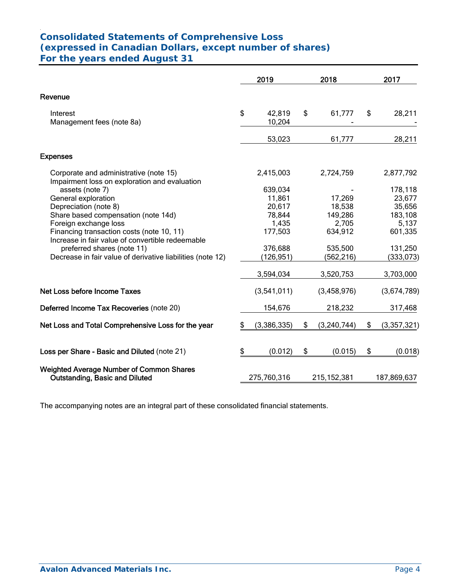#### . **Consolidated Statements of Comprehensive Loss (expressed in Canadian Dollars, except number of shares) For the years ended August 31**

|                                                                                          | 2019 |                  |    | 2018             | 2017              |  |
|------------------------------------------------------------------------------------------|------|------------------|----|------------------|-------------------|--|
| Revenue                                                                                  |      |                  |    |                  |                   |  |
| Interest<br>Management fees (note 8a)                                                    | \$   | 42,819<br>10,204 | \$ | 61,777           | \$<br>28,211      |  |
|                                                                                          |      | 53,023           |    | 61,777           | 28,211            |  |
| <b>Expenses</b>                                                                          |      |                  |    |                  |                   |  |
| Corporate and administrative (note 15)<br>Impairment loss on exploration and evaluation  |      | 2,415,003        |    | 2,724,759        | 2,877,792         |  |
| assets (note 7)                                                                          |      | 639,034          |    |                  | 178,118           |  |
| General exploration                                                                      |      | 11,861           |    | 17,269           | 23,677            |  |
| Depreciation (note 8)                                                                    |      | 20,617           |    | 18,538           | 35,656            |  |
| Share based compensation (note 14d)                                                      |      | 78,844           |    | 149,286          | 183,108           |  |
| Foreign exchange loss<br>Financing transaction costs (note 10, 11)                       |      | 1,435<br>177,503 |    | 2,705<br>634,912 | 5,137<br>601,335  |  |
| Increase in fair value of convertible redeemable                                         |      |                  |    |                  |                   |  |
| preferred shares (note 11)                                                               |      | 376,688          |    | 535,500          | 131,250           |  |
| Decrease in fair value of derivative liabilities (note 12)                               |      | (126, 951)       |    | (562, 216)       | (333,073)         |  |
|                                                                                          |      | 3,594,034        |    | 3,520,753        | 3,703,000         |  |
| Net Loss before Income Taxes                                                             |      | (3,541,011)      |    | (3,458,976)      | (3,674,789)       |  |
| Deferred Income Tax Recoveries (note 20)                                                 |      | 154,676          |    | 218,232          | 317,468           |  |
| Net Loss and Total Comprehensive Loss for the year                                       | \$   | (3,386,335)      | \$ | (3, 240, 744)    | \$<br>(3,357,321) |  |
| Loss per Share - Basic and Diluted (note 21)                                             | \$   | (0.012)          | \$ | (0.015)          | \$<br>(0.018)     |  |
| <b>Weighted Average Number of Common Shares</b><br><b>Outstanding, Basic and Diluted</b> |      | 275,760,316      |    | 215, 152, 381    | 187,869,637       |  |

The accompanying notes are an integral part of these consolidated financial statements.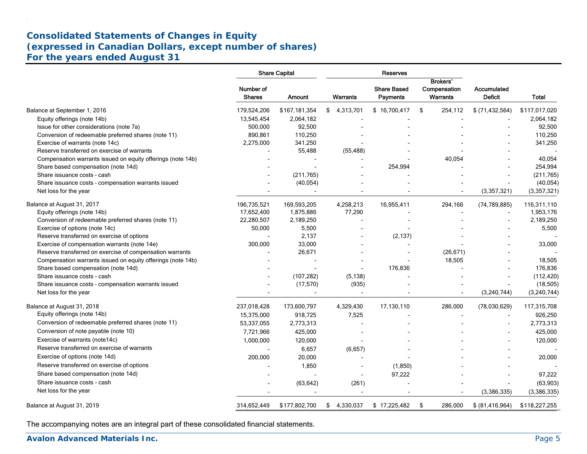# **Consolidated Statements of Changes in Equity (expressed in Canadian Dollars, except number of shares) For the years ended August 31**

|                                                             |                            | <b>Share Capital</b>     |                | Reserves                       |                          |                                      |               |
|-------------------------------------------------------------|----------------------------|--------------------------|----------------|--------------------------------|--------------------------|--------------------------------------|---------------|
|                                                             |                            |                          |                |                                | <b>Brokers'</b>          |                                      |               |
|                                                             | Number of<br><b>Shares</b> | Amount                   | Warrants       | <b>Share Based</b><br>Payments | Compensation<br>Warrants | <b>Accumulated</b><br><b>Deficit</b> | <b>Total</b>  |
| Balance at September 1, 2016                                | 179,524,206                | \$167,181,354            | \$4,313,701    | \$16,700,417                   | \$<br>254,112            | $$$ (71,432,564)                     | \$117,017,020 |
| Equity offerings (note 14b)                                 | 13,545,454                 | 2,064,182                |                |                                |                          |                                      | 2,064,182     |
| Issue for other considerations (note 7a)                    | 500.000                    | 92,500                   |                |                                |                          |                                      | 92,500        |
| Conversion of redeemable preferred shares (note 11)         | 890,861                    | 110,250                  |                |                                |                          |                                      | 110,250       |
| Exercise of warrants (note 14c)                             | 2,275,000                  | 341,250                  |                |                                |                          |                                      | 341,250       |
| Reserve transferred on exercise of warrants                 |                            | 55,488                   | (55, 488)      |                                |                          |                                      |               |
| Compensation warrants issued on equity offerings (note 14b) |                            |                          |                |                                | 40,054                   |                                      | 40,054        |
| Share based compensation (note 14d)                         |                            |                          |                | 254,994                        |                          |                                      | 254,994       |
| Share issuance costs - cash                                 |                            | (211, 765)               |                |                                |                          |                                      | (211, 765)    |
| Share issuance costs - compensation warrants issued         |                            | (40, 054)                |                |                                |                          |                                      | (40, 054)     |
| Net loss for the year                                       |                            |                          |                |                                |                          | (3,357,321)                          | (3,357,321)   |
| Balance at August 31, 2017                                  | 196,735,521                | 169,593,205              | 4,258,213      | 16,955,411                     | 294,166                  | (74, 789, 885)                       | 116,311,110   |
| Equity offerings (note 14b)                                 | 17,652,400                 | 1,875,886                | 77,290         |                                |                          |                                      | 1,953,176     |
| Conversion of redeemable preferred shares (note 11)         | 22,280,507                 | 2,189,250                |                |                                |                          |                                      | 2,189,250     |
| Exercise of options (note 14c)                              | 50,000                     | 5,500                    |                |                                |                          |                                      | 5,500         |
| Reserve transferred on exercise of options                  |                            | 2,137                    |                | (2, 137)                       |                          |                                      |               |
| Exercise of compensation warrants (note 14e)                | 300,000                    | 33,000                   |                | $\overline{a}$                 |                          |                                      | 33,000        |
| Reserve transferred on exercise of compensation warrants    |                            | 26,671                   |                |                                | (26, 671)                |                                      |               |
| Compensation warrants issued on equity offerings (note 14b) |                            |                          |                |                                | 18,505                   |                                      | 18,505        |
| Share based compensation (note 14d)                         |                            | $\overline{\phantom{a}}$ | $\blacksquare$ | 176,836                        |                          |                                      | 176,836       |
| Share issuance costs - cash                                 |                            | (107, 282)               | (5, 138)       |                                |                          |                                      | (112, 420)    |
| Share issuance costs - compensation warrants issued         |                            | (17, 570)                | (935)          |                                |                          |                                      | (18, 505)     |
| Net loss for the year                                       |                            |                          |                |                                |                          | (3,240,744)                          | (3,240,744)   |
| Balance at August 31, 2018                                  | 237,018,428                | 173,600,797              | 4,329,430      | 17,130,110                     | 286,000                  | (78,030,629)                         | 117,315,708   |
| Equity offerings (note 14b)                                 | 15,375,000                 | 918,725                  | 7,525          |                                |                          |                                      | 926,250       |
| Conversion of redeemable preferred shares (note 11)         | 53,337,055                 | 2,773,313                | $\overline{a}$ |                                |                          |                                      | 2,773,313     |
| Conversion of note payable (note 10)                        | 7,721,966                  | 425,000                  |                |                                |                          |                                      | 425,000       |
| Exercise of warrants (note14c)                              | 1,000,000                  | 120,000                  |                |                                |                          |                                      | 120,000       |
| Reserve transferred on exercise of warrants                 |                            | 6,657                    | (6,657)        |                                |                          |                                      |               |
| Exercise of options (note 14d)                              | 200,000                    | 20,000                   |                |                                |                          |                                      | 20,000        |
| Reserve transferred on exercise of options                  |                            | 1.850                    |                | (1,850)                        |                          |                                      |               |
| Share based compensation (note 14d)                         |                            |                          | $\sim$         |                                |                          |                                      |               |
| Share issuance costs - cash                                 |                            |                          |                | 97,222                         |                          |                                      | 97,222        |
|                                                             |                            | (63, 642)                | (261)          |                                |                          |                                      | (63,903)      |
| Net loss for the year                                       |                            |                          | $\blacksquare$ |                                |                          | (3,386,335)                          | (3,386,335)   |
| Balance at August 31, 2019                                  | 314,652,449                | \$177,802,700            | \$4,330,037    | \$17,225,482                   | \$<br>286,000            | \$ (81, 416, 964)                    | \$118,227,255 |

The accompanying notes are an integral part of these consolidated financial statements.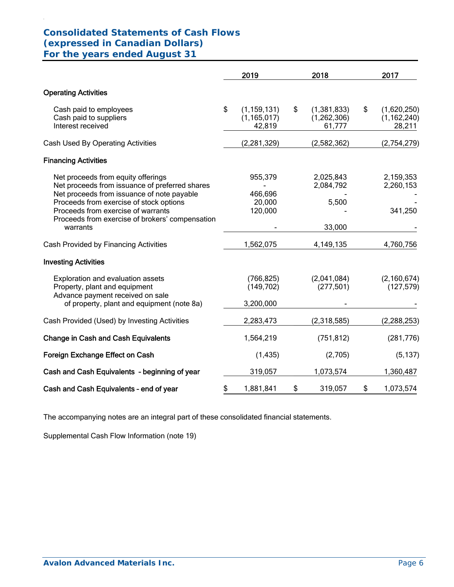# **Consolidated Statements of Cash Flows (expressed in Canadian Dollars) For the years ended August 31**

.

|                                                                                                                                                                                                                     | 2019                                           | 2018                                         | 2017                                         |
|---------------------------------------------------------------------------------------------------------------------------------------------------------------------------------------------------------------------|------------------------------------------------|----------------------------------------------|----------------------------------------------|
| <b>Operating Activities</b>                                                                                                                                                                                         |                                                |                                              |                                              |
| Cash paid to employees<br>Cash paid to suppliers<br>Interest received                                                                                                                                               | \$<br>(1, 159, 131)<br>(1, 165, 017)<br>42,819 | \$<br>(1,381,833)<br>(1, 262, 306)<br>61,777 | \$<br>(1,620,250)<br>(1, 162, 240)<br>28,211 |
| Cash Used By Operating Activities                                                                                                                                                                                   | (2, 281, 329)                                  | (2,582,362)                                  | (2,754,279)                                  |
| <b>Financing Activities</b>                                                                                                                                                                                         |                                                |                                              |                                              |
| Net proceeds from equity offerings<br>Net proceeds from issuance of preferred shares<br>Net proceeds from issuance of note payable<br>Proceeds from exercise of stock options<br>Proceeds from exercise of warrants | 955,379<br>466,696<br>20,000<br>120,000        | 2,025,843<br>2,084,792<br>5,500              | 2,159,353<br>2,260,153<br>341,250            |
| Proceeds from exercise of brokers' compensation<br>warrants                                                                                                                                                         |                                                | 33,000                                       |                                              |
| Cash Provided by Financing Activities                                                                                                                                                                               | 1,562,075                                      | 4, 149, 135                                  | 4,760,756                                    |
| <b>Investing Activities</b>                                                                                                                                                                                         |                                                |                                              |                                              |
| Exploration and evaluation assets<br>Property, plant and equipment<br>Advance payment received on sale                                                                                                              | (766, 825)<br>(149, 702)                       | (2,041,084)<br>(277, 501)                    | (2, 160, 674)<br>(127, 579)                  |
| of property, plant and equipment (note 8a)                                                                                                                                                                          | 3,200,000                                      |                                              |                                              |
| Cash Provided (Used) by Investing Activities                                                                                                                                                                        | 2,283,473                                      | (2,318,585)                                  | (2, 288, 253)                                |
| <b>Change in Cash and Cash Equivalents</b>                                                                                                                                                                          | 1,564,219                                      | (751, 812)                                   | (281, 776)                                   |
| Foreign Exchange Effect on Cash                                                                                                                                                                                     | (1, 435)                                       | (2,705)                                      | (5, 137)                                     |
| Cash and Cash Equivalents - beginning of year                                                                                                                                                                       | 319,057                                        | 1,073,574                                    | 1,360,487                                    |
| Cash and Cash Equivalents - end of year                                                                                                                                                                             | \$<br>1,881,841                                | \$<br>319,057                                | \$<br>1,073,574                              |

The accompanying notes are an integral part of these consolidated financial statements.

Supplemental Cash Flow Information (note 19)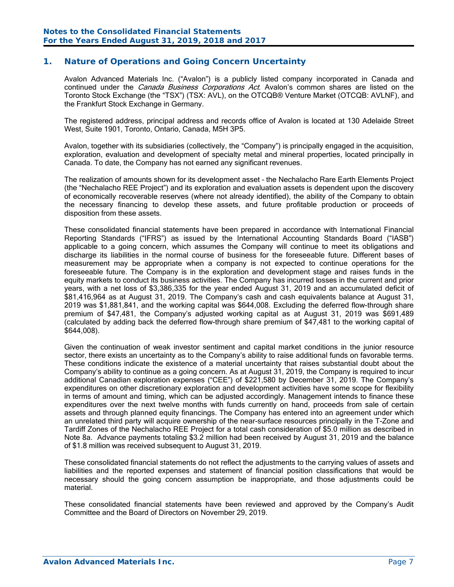### **1. Nature of Operations and Going Concern Uncertainty**

Avalon Advanced Materials Inc. ("Avalon") is a publicly listed company incorporated in Canada and continued under the *Canada Business Corporations Act*. Avalon's common shares are listed on the Toronto Stock Exchange (the "TSX") (TSX: AVL), on the OTCQB® Venture Market (OTCQB: AVLNF), and the Frankfurt Stock Exchange in Germany.

The registered address, principal address and records office of Avalon is located at 130 Adelaide Street West, Suite 1901, Toronto, Ontario, Canada, M5H 3P5.

Avalon, together with its subsidiaries (collectively, the "Company") is principally engaged in the acquisition, exploration, evaluation and development of specialty metal and mineral properties, located principally in Canada. To date, the Company has not earned any significant revenues.

The realization of amounts shown for its development asset – the Nechalacho Rare Earth Elements Project (the "Nechalacho REE Project") and its exploration and evaluation assets is dependent upon the discovery of economically recoverable reserves (where not already identified), the ability of the Company to obtain the necessary financing to develop these assets, and future profitable production or proceeds of disposition from these assets.

These consolidated financial statements have been prepared in accordance with International Financial Reporting Standards ("IFRS") as issued by the International Accounting Standards Board ("IASB") applicable to a going concern, which assumes the Company will continue to meet its obligations and discharge its liabilities in the normal course of business for the foreseeable future. Different bases of measurement may be appropriate when a company is not expected to continue operations for the foreseeable future. The Company is in the exploration and development stage and raises funds in the equity markets to conduct its business activities. The Company has incurred losses in the current and prior years, with a net loss of \$3,386,335 for the year ended August 31, 2019 and an accumulated deficit of \$81,416,964 as at August 31, 2019. The Company's cash and cash equivalents balance at August 31, 2019 was \$1,881,841, and the working capital was \$644,008. Excluding the deferred flow-through share premium of \$47,481, the Company's adjusted working capital as at August 31, 2019 was \$691,489 (calculated by adding back the deferred flow-through share premium of \$47,481 to the working capital of \$644,008).

Given the continuation of weak investor sentiment and capital market conditions in the junior resource sector, there exists an uncertainty as to the Company's ability to raise additional funds on favorable terms. These conditions indicate the existence of a material uncertainty that raises substantial doubt about the Company's ability to continue as a going concern. As at August 31, 2019, the Company is required to incur additional Canadian exploration expenses ("CEE") of \$221,580 by December 31, 2019. The Company's expenditures on other discretionary exploration and development activities have some scope for flexibility in terms of amount and timing, which can be adjusted accordingly. Management intends to finance these expenditures over the next twelve months with funds currently on hand, proceeds from sale of certain assets and through planned equity financings. The Company has entered into an agreement under which an unrelated third party will acquire ownership of the near-surface resources principally in the T-Zone and Tardiff Zones of the Nechalacho REE Project for a total cash consideration of \$5.0 million as described in Note 8a. Advance payments totaling \$3.2 million had been received by August 31, 2019 and the balance of \$1.8 million was received subsequent to August 31, 2019.

These consolidated financial statements do not reflect the adjustments to the carrying values of assets and liabilities and the reported expenses and statement of financial position classifications that would be necessary should the going concern assumption be inappropriate, and those adjustments could be material.

These consolidated financial statements have been reviewed and approved by the Company's Audit Committee and the Board of Directors on November 29, 2019.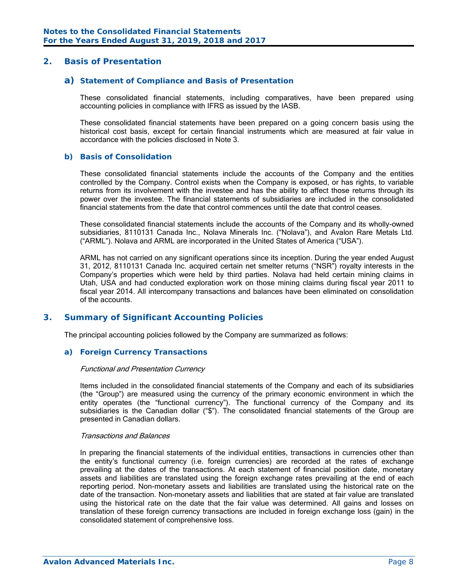### **2. Basis of Presentation**

#### *a) Statement of Compliance and Basis of Presentation*

 These consolidated financial statements, including comparatives, have been prepared using accounting policies in compliance with IFRS as issued by the IASB.

These consolidated financial statements have been prepared on a going concern basis using the historical cost basis, except for certain financial instruments which are measured at fair value in accordance with the policies disclosed in Note 3.

#### *b) Basis of Consolidation*

These consolidated financial statements include the accounts of the Company and the entities controlled by the Company. Control exists when the Company is exposed, or has rights, to variable returns from its involvement with the investee and has the ability to affect those returns through its power over the investee. The financial statements of subsidiaries are included in the consolidated financial statements from the date that control commences until the date that control ceases.

These consolidated financial statements include the accounts of the Company and its wholly-owned subsidiaries, 8110131 Canada Inc., Nolava Minerals Inc. ("Nolava"), and Avalon Rare Metals Ltd. ("ARML"). Nolava and ARML are incorporated in the United States of America ("USA").

ARML has not carried on any significant operations since its inception. During the year ended August 31, 2012, 8110131 Canada Inc. acquired certain net smelter returns ("NSR") royalty interests in the Company's properties which were held by third parties. Nolava had held certain mining claims in Utah, USA and had conducted exploration work on those mining claims during fiscal year 2011 to fiscal year 2014. All intercompany transactions and balances have been eliminated on consolidation of the accounts.

#### **3. Summary of Significant Accounting Policies**

The principal accounting policies followed by the Company are summarized as follows:

#### *a) Foreign Currency Transactions*

#### Functional and Presentation Currency

Items included in the consolidated financial statements of the Company and each of its subsidiaries (the "Group") are measured using the currency of the primary economic environment in which the entity operates (the "functional currency"). The functional currency of the Company and its subsidiaries is the Canadian dollar ("\$"). The consolidated financial statements of the Group are presented in Canadian dollars.

#### Transactions and Balances

In preparing the financial statements of the individual entities, transactions in currencies other than the entity's functional currency (i.e. foreign currencies) are recorded at the rates of exchange prevailing at the dates of the transactions. At each statement of financial position date, monetary assets and liabilities are translated using the foreign exchange rates prevailing at the end of each reporting period. Non-monetary assets and liabilities are translated using the historical rate on the date of the transaction. Non-monetary assets and liabilities that are stated at fair value are translated using the historical rate on the date that the fair value was determined. All gains and losses on translation of these foreign currency transactions are included in foreign exchange loss (gain) in the consolidated statement of comprehensive loss.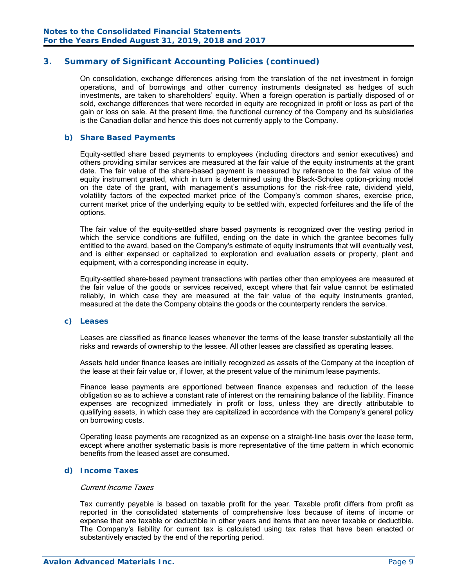On consolidation, exchange differences arising from the translation of the net investment in foreign operations, and of borrowings and other currency instruments designated as hedges of such investments, are taken to shareholders' equity. When a foreign operation is partially disposed of or sold, exchange differences that were recorded in equity are recognized in profit or loss as part of the gain or loss on sale. At the present time, the functional currency of the Company and its subsidiaries is the Canadian dollar and hence this does not currently apply to the Company.

#### *b) Share Based Payments*

Equity-settled share based payments to employees (including directors and senior executives) and others providing similar services are measured at the fair value of the equity instruments at the grant date. The fair value of the share-based payment is measured by reference to the fair value of the equity instrument granted, which in turn is determined using the Black-Scholes option-pricing model on the date of the grant, with management's assumptions for the risk-free rate, dividend yield, volatility factors of the expected market price of the Company's common shares, exercise price, current market price of the underlying equity to be settled with, expected forfeitures and the life of the options.

The fair value of the equity-settled share based payments is recognized over the vesting period in which the service conditions are fulfilled, ending on the date in which the grantee becomes fully entitled to the award, based on the Company's estimate of equity instruments that will eventually vest, and is either expensed or capitalized to exploration and evaluation assets or property, plant and equipment, with a corresponding increase in equity.

Equity-settled share-based payment transactions with parties other than employees are measured at the fair value of the goods or services received, except where that fair value cannot be estimated reliably, in which case they are measured at the fair value of the equity instruments granted, measured at the date the Company obtains the goods or the counterparty renders the service.

#### *c) Leases*

Leases are classified as finance leases whenever the terms of the lease transfer substantially all the risks and rewards of ownership to the lessee. All other leases are classified as operating leases.

Assets held under finance leases are initially recognized as assets of the Company at the inception of the lease at their fair value or, if lower, at the present value of the minimum lease payments.

Finance lease payments are apportioned between finance expenses and reduction of the lease obligation so as to achieve a constant rate of interest on the remaining balance of the liability. Finance expenses are recognized immediately in profit or loss, unless they are directly attributable to qualifying assets, in which case they are capitalized in accordance with the Company's general policy on borrowing costs.

Operating lease payments are recognized as an expense on a straight-line basis over the lease term, except where another systematic basis is more representative of the time pattern in which economic benefits from the leased asset are consumed.

#### *d) Income Taxes*

#### Current Income Taxes

Tax currently payable is based on taxable profit for the year. Taxable profit differs from profit as reported in the consolidated statements of comprehensive loss because of items of income or expense that are taxable or deductible in other years and items that are never taxable or deductible. The Company's liability for current tax is calculated using tax rates that have been enacted or substantively enacted by the end of the reporting period.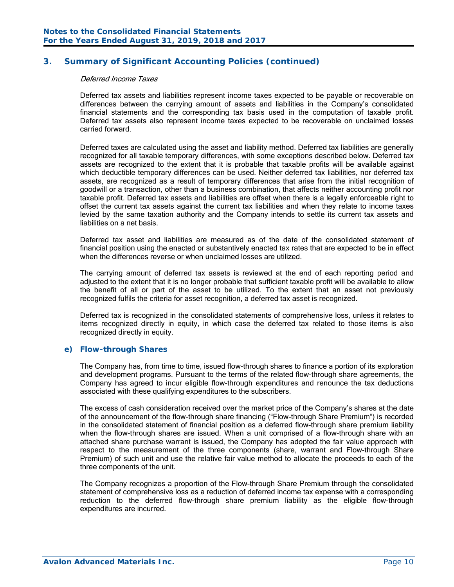#### Deferred Income Taxes

Deferred tax assets and liabilities represent income taxes expected to be payable or recoverable on differences between the carrying amount of assets and liabilities in the Company's consolidated financial statements and the corresponding tax basis used in the computation of taxable profit. Deferred tax assets also represent income taxes expected to be recoverable on unclaimed losses carried forward.

Deferred taxes are calculated using the asset and liability method. Deferred tax liabilities are generally recognized for all taxable temporary differences, with some exceptions described below. Deferred tax assets are recognized to the extent that it is probable that taxable profits will be available against which deductible temporary differences can be used. Neither deferred tax liabilities, nor deferred tax assets, are recognized as a result of temporary differences that arise from the initial recognition of goodwill or a transaction, other than a business combination, that affects neither accounting profit nor taxable profit. Deferred tax assets and liabilities are offset when there is a legally enforceable right to offset the current tax assets against the current tax liabilities and when they relate to income taxes levied by the same taxation authority and the Company intends to settle its current tax assets and liabilities on a net basis.

Deferred tax asset and liabilities are measured as of the date of the consolidated statement of financial position using the enacted or substantively enacted tax rates that are expected to be in effect when the differences reverse or when unclaimed losses are utilized.

The carrying amount of deferred tax assets is reviewed at the end of each reporting period and adjusted to the extent that it is no longer probable that sufficient taxable profit will be available to allow the benefit of all or part of the asset to be utilized. To the extent that an asset not previously recognized fulfils the criteria for asset recognition, a deferred tax asset is recognized.

Deferred tax is recognized in the consolidated statements of comprehensive loss, unless it relates to items recognized directly in equity, in which case the deferred tax related to those items is also recognized directly in equity.

#### *e) Flow-through Shares*

The Company has, from time to time, issued flow-through shares to finance a portion of its exploration and development programs. Pursuant to the terms of the related flow-through share agreements, the Company has agreed to incur eligible flow-through expenditures and renounce the tax deductions associated with these qualifying expenditures to the subscribers.

The excess of cash consideration received over the market price of the Company's shares at the date of the announcement of the flow-through share financing ("Flow-through Share Premium") is recorded in the consolidated statement of financial position as a deferred flow-through share premium liability when the flow-through shares are issued. When a unit comprised of a flow-through share with an attached share purchase warrant is issued, the Company has adopted the fair value approach with respect to the measurement of the three components (share, warrant and Flow-through Share Premium) of such unit and use the relative fair value method to allocate the proceeds to each of the three components of the unit.

The Company recognizes a proportion of the Flow-through Share Premium through the consolidated statement of comprehensive loss as a reduction of deferred income tax expense with a corresponding reduction to the deferred flow-through share premium liability as the eligible flow-through expenditures are incurred.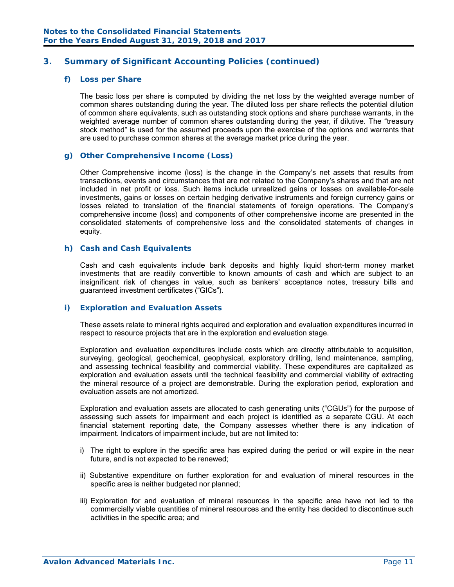#### *f) Loss per Share*

The basic loss per share is computed by dividing the net loss by the weighted average number of common shares outstanding during the year. The diluted loss per share reflects the potential dilution of common share equivalents, such as outstanding stock options and share purchase warrants, in the weighted average number of common shares outstanding during the year, if dilutive. The "treasury stock method" is used for the assumed proceeds upon the exercise of the options and warrants that are used to purchase common shares at the average market price during the year.

#### *g) Other Comprehensive Income (Loss)*

Other Comprehensive income (loss) is the change in the Company's net assets that results from transactions, events and circumstances that are not related to the Company's shares and that are not included in net profit or loss. Such items include unrealized gains or losses on available-for-sale investments, gains or losses on certain hedging derivative instruments and foreign currency gains or losses related to translation of the financial statements of foreign operations. The Company's comprehensive income (loss) and components of other comprehensive income are presented in the consolidated statements of comprehensive loss and the consolidated statements of changes in equity.

#### *h) Cash and Cash Equivalents*

Cash and cash equivalents include bank deposits and highly liquid short-term money market investments that are readily convertible to known amounts of cash and which are subject to an insignificant risk of changes in value, such as bankers' acceptance notes, treasury bills and guaranteed investment certificates ("GICs").

#### *i) Exploration and Evaluation Assets*

These assets relate to mineral rights acquired and exploration and evaluation expenditures incurred in respect to resource projects that are in the exploration and evaluation stage.

Exploration and evaluation expenditures include costs which are directly attributable to acquisition, surveying, geological, geochemical, geophysical, exploratory drilling, land maintenance, sampling, and assessing technical feasibility and commercial viability. These expenditures are capitalized as exploration and evaluation assets until the technical feasibility and commercial viability of extracting the mineral resource of a project are demonstrable. During the exploration period, exploration and evaluation assets are not amortized.

Exploration and evaluation assets are allocated to cash generating units ("CGUs") for the purpose of assessing such assets for impairment and each project is identified as a separate CGU. At each financial statement reporting date, the Company assesses whether there is any indication of impairment. Indicators of impairment include, but are not limited to:

- i) The right to explore in the specific area has expired during the period or will expire in the near future, and is not expected to be renewed;
- ii) Substantive expenditure on further exploration for and evaluation of mineral resources in the specific area is neither budgeted nor planned;
- iii) Exploration for and evaluation of mineral resources in the specific area have not led to the commercially viable quantities of mineral resources and the entity has decided to discontinue such activities in the specific area; and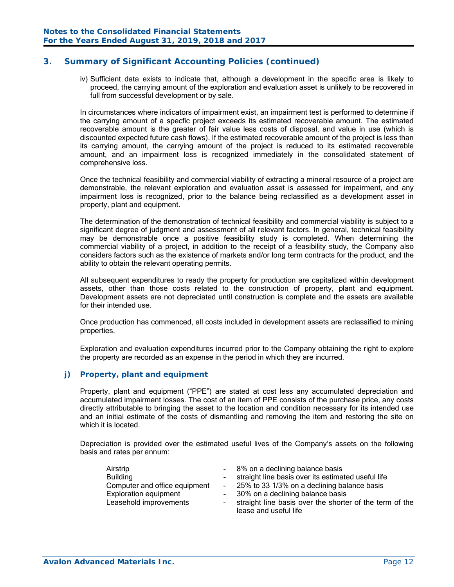iv) Sufficient data exists to indicate that, although a development in the specific area is likely to proceed, the carrying amount of the exploration and evaluation asset is unlikely to be recovered in full from successful development or by sale.

In circumstances where indicators of impairment exist, an impairment test is performed to determine if the carrying amount of a specfic project exceeds its estimated recoverable amount. The estimated recoverable amount is the greater of fair value less costs of disposal, and value in use (which is discounted expected future cash flows). If the estimated recoverable amount of the project is less than its carrying amount, the carrying amount of the project is reduced to its estimated recoverable amount, and an impairment loss is recognized immediately in the consolidated statement of comprehensive loss.

Once the technical feasibility and commercial viability of extracting a mineral resource of a project are demonstrable, the relevant exploration and evaluation asset is assessed for impairment, and any impairment loss is recognized, prior to the balance being reclassified as a development asset in property, plant and equipment.

The determination of the demonstration of technical feasibility and commercial viability is subject to a significant degree of judgment and assessment of all relevant factors. In general, technical feasibility may be demonstrable once a positive feasibility study is completed. When determining the commercial viability of a project, in addition to the receipt of a feasibility study, the Company also considers factors such as the existence of markets and/or long term contracts for the product, and the ability to obtain the relevant operating permits.

All subsequent expenditures to ready the property for production are capitalized within development assets, other than those costs related to the construction of property, plant and equipment. Development assets are not depreciated until construction is complete and the assets are available for their intended use.

Once production has commenced, all costs included in development assets are reclassified to mining properties.

Exploration and evaluation expenditures incurred prior to the Company obtaining the right to explore the property are recorded as an expense in the period in which they are incurred.

#### *j) Property, plant and equipment*

Property, plant and equipment ("PPE") are stated at cost less any accumulated depreciation and accumulated impairment losses. The cost of an item of PPE consists of the purchase price, any costs directly attributable to bringing the asset to the location and condition necessary for its intended use and an initial estimate of the costs of dismantling and removing the item and restoring the site on which it is located.

Depreciation is provided over the estimated useful lives of the Company's assets on the following basis and rates per annum:

| Airstrip<br><b>Building</b><br>Computer and office equipment<br><b>Exploration equipment</b> | $\blacksquare$ | - 8% on a declining balance basis<br>straight line basis over its estimated useful life<br>- 25% to 33 1/3% on a declining balance basis<br>- 30% on a declining balance basis |
|----------------------------------------------------------------------------------------------|----------------|--------------------------------------------------------------------------------------------------------------------------------------------------------------------------------|
| Leasehold improvements                                                                       | $\sim$         | straight line basis over the shorter of the term of the<br>lease and useful life                                                                                               |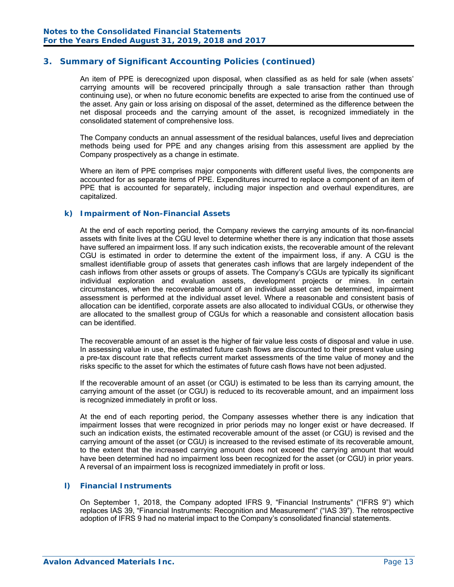An item of PPE is derecognized upon disposal, when classified as as held for sale (when assets' carrying amounts will be recovered principally through a sale transaction rather than through continuing use), or when no future economic benefits are expected to arise from the continued use of the asset. Any gain or loss arising on disposal of the asset, determined as the difference between the net disposal proceeds and the carrying amount of the asset, is recognized immediately in the consolidated statement of comprehensive loss.

The Company conducts an annual assessment of the residual balances, useful lives and depreciation methods being used for PPE and any changes arising from this assessment are applied by the Company prospectively as a change in estimate.

Where an item of PPE comprises major components with different useful lives, the components are accounted for as separate items of PPE. Expenditures incurred to replace a component of an item of PPE that is accounted for separately, including major inspection and overhaul expenditures, are capitalized.

#### *k) Impairment of Non-Financial Assets*

At the end of each reporting period, the Company reviews the carrying amounts of its non-financial assets with finite lives at the CGU level to determine whether there is any indication that those assets have suffered an impairment loss. If any such indication exists, the recoverable amount of the relevant CGU is estimated in order to determine the extent of the impairment loss, if any. A CGU is the smallest identifiable group of assets that generates cash inflows that are largely independent of the cash inflows from other assets or groups of assets. The Company's CGUs are typically its significant individual exploration and evaluation assets, development projects or mines. In certain circumstances, when the recoverable amount of an individual asset can be determined, impairment assessment is performed at the individual asset level. Where a reasonable and consistent basis of allocation can be identified, corporate assets are also allocated to individual CGUs, or otherwise they are allocated to the smallest group of CGUs for which a reasonable and consistent allocation basis can be identified.

The recoverable amount of an asset is the higher of fair value less costs of disposal and value in use. In assessing value in use, the estimated future cash flows are discounted to their present value using a pre-tax discount rate that reflects current market assessments of the time value of money and the risks specific to the asset for which the estimates of future cash flows have not been adjusted.

If the recoverable amount of an asset (or CGU) is estimated to be less than its carrying amount, the carrying amount of the asset (or CGU) is reduced to its recoverable amount, and an impairment loss is recognized immediately in profit or loss.

At the end of each reporting period, the Company assesses whether there is any indication that impairment losses that were recognized in prior periods may no longer exist or have decreased. If such an indication exists, the estimated recoverable amount of the asset (or CGU) is revised and the carrying amount of the asset (or CGU) is increased to the revised estimate of its recoverable amount, to the extent that the increased carrying amount does not exceed the carrying amount that would have been determined had no impairment loss been recognized for the asset (or CGU) in prior years. A reversal of an impairment loss is recognized immediately in profit or loss.

#### *l) Financial Instruments*

On September 1, 2018, the Company adopted IFRS 9, "Financial Instruments" ("IFRS 9") which replaces IAS 39, "Financial Instruments: Recognition and Measurement" ("IAS 39"). The retrospective adoption of IFRS 9 had no material impact to the Company's consolidated financial statements.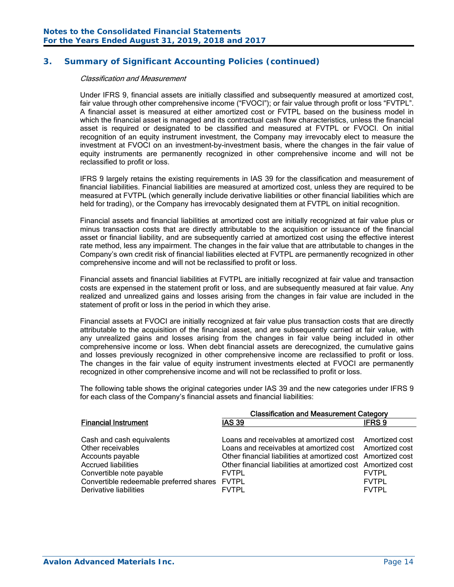#### Classification and Measurement

Under IFRS 9, financial assets are initially classified and subsequently measured at amortized cost, fair value through other comprehensive income ("FVOCI"); or fair value through profit or loss "FVTPL". A financial asset is measured at either amortized cost or FVTPL based on the business model in which the financial asset is managed and its contractual cash flow characteristics, unless the financial asset is required or designated to be classified and measured at FVTPL or FVOCI. On initial recognition of an equity instrument investment, the Company may irrevocably elect to measure the investment at FVOCI on an investment-by-investment basis, where the changes in the fair value of equity instruments are permanently recognized in other comprehensive income and will not be reclassified to profit or loss.

IFRS 9 largely retains the existing requirements in IAS 39 for the classification and measurement of financial liabilities. Financial liabilities are measured at amortized cost, unless they are required to be measured at FVTPL (which generally include derivative liabilities or other financial liabilities which are held for trading), or the Company has irrevocably designated them at FVTPL on initial recognition.

Financial assets and financial liabilities at amortized cost are initially recognized at fair value plus or minus transaction costs that are directly attributable to the acquisition or issuance of the financial asset or financial liability, and are subsequently carried at amortized cost using the effective interest rate method, less any impairment. The changes in the fair value that are attributable to changes in the Company's own credit risk of financial liabilities elected at FVTPL are permanently recognized in other comprehensive income and will not be reclassified to profit or loss.

Financial assets and financial liabilities at FVTPL are initially recognized at fair value and transaction costs are expensed in the statement profit or loss, and are subsequently measured at fair value. Any realized and unrealized gains and losses arising from the changes in fair value are included in the statement of profit or loss in the period in which they arise.

Financial assets at FVOCI are initially recognized at fair value plus transaction costs that are directly attributable to the acquisition of the financial asset, and are subsequently carried at fair value, with any unrealized gains and losses arising from the changes in fair value being included in other comprehensive income or loss. When debt financial assets are derecognized, the cumulative gains and losses previously recognized in other comprehensive income are reclassified to profit or loss. The changes in the fair value of equity instrument investments elected at FVOCI are permanently recognized in other comprehensive income and will not be reclassified to profit or loss.

The following table shows the original categories under IAS 39 and the new categories under IFRS 9 for each class of the Company's financial assets and financial liabilities:

|                                         | <b>Classification and Measurement Category</b>               |              |
|-----------------------------------------|--------------------------------------------------------------|--------------|
| <b>Financial Instrument</b>             | <b>IAS 39</b>                                                | <b>IFRS9</b> |
|                                         |                                                              |              |
| Cash and cash equivalents               | Loans and receivables at amortized cost Amortized cost       |              |
| Other receivables                       | Loans and receivables at amortized cost Amortized cost       |              |
| Accounts payable                        | Other financial liabilities at amortized cost Amortized cost |              |
| <b>Accrued liabilities</b>              | Other financial liabilities at amortized cost Amortized cost |              |
| Convertible note payable                | <b>FVTPL</b>                                                 | <b>FVTPL</b> |
| Convertible redeemable preferred shares | <b>FVTPL</b>                                                 | <b>FVTPL</b> |
| Derivative liabilities                  | <b>FVTPI</b>                                                 | <b>FVTPL</b> |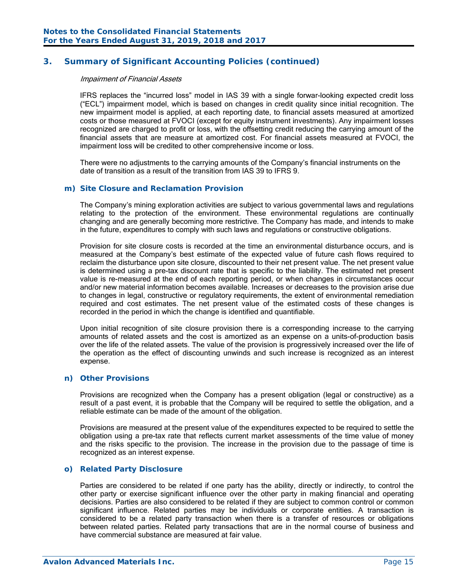#### Impairment of Financial Assets

IFRS replaces the "incurred loss" model in IAS 39 with a single forwar-looking expected credit loss ("ECL") impairment model, which is based on changes in credit quality since initial recognition. The new impairment model is applied, at each reporting date, to financial assets measured at amortized costs or those measured at FVOCI (except for equity instrument investments). Any impairment losses recognized are charged to profit or loss, with the offsetting credit reducing the carrying amount of the financial assets that are measure at amortized cost. For financial assets measured at FVOCI, the impairment loss will be credited to other comprehensive income or loss.

There were no adjustments to the carrying amounts of the Company's financial instruments on the date of transition as a result of the transition from IAS 39 to IFRS 9.

#### *m) Site Closure and Reclamation Provision*

The Company's mining exploration activities are subject to various governmental laws and regulations relating to the protection of the environment. These environmental regulations are continually changing and are generally becoming more restrictive. The Company has made, and intends to make in the future, expenditures to comply with such laws and regulations or constructive obligations.

Provision for site closure costs is recorded at the time an environmental disturbance occurs, and is measured at the Company's best estimate of the expected value of future cash flows required to reclaim the disturbance upon site closure, discounted to their net present value. The net present value is determined using a pre-tax discount rate that is specific to the liability. The estimated net present value is re-measured at the end of each reporting period, or when changes in circumstances occur and/or new material information becomes available. Increases or decreases to the provision arise due to changes in legal, constructive or regulatory requirements, the extent of environmental remediation required and cost estimates. The net present value of the estimated costs of these changes is recorded in the period in which the change is identified and quantifiable.

Upon initial recognition of site closure provision there is a corresponding increase to the carrying amounts of related assets and the cost is amortized as an expense on a units-of-production basis over the life of the related assets. The value of the provision is progressively increased over the life of the operation as the effect of discounting unwinds and such increase is recognized as an interest expense.

### *n) Other Provisions*

Provisions are recognized when the Company has a present obligation (legal or constructive) as a result of a past event, it is probable that the Company will be required to settle the obligation, and a reliable estimate can be made of the amount of the obligation.

Provisions are measured at the present value of the expenditures expected to be required to settle the obligation using a pre-tax rate that reflects current market assessments of the time value of money and the risks specific to the provision. The increase in the provision due to the passage of time is recognized as an interest expense.

#### *o) Related Party Disclosure*

Parties are considered to be related if one party has the ability, directly or indirectly, to control the other party or exercise significant influence over the other party in making financial and operating decisions. Parties are also considered to be related if they are subject to common control or common significant influence. Related parties may be individuals or corporate entities. A transaction is considered to be a related party transaction when there is a transfer of resources or obligations between related parties. Related party transactions that are in the normal course of business and have commercial substance are measured at fair value.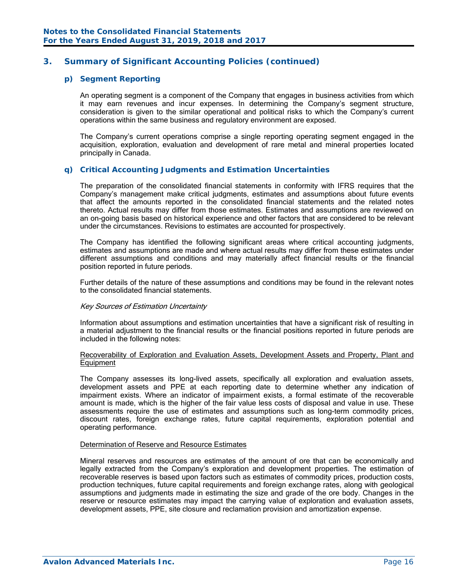#### *p) Segment Reporting*

An operating segment is a component of the Company that engages in business activities from which it may earn revenues and incur expenses. In determining the Company's segment structure, consideration is given to the similar operational and political risks to which the Company's current operations within the same business and regulatory environment are exposed.

The Company's current operations comprise a single reporting operating segment engaged in the acquisition, exploration, evaluation and development of rare metal and mineral properties located principally in Canada.

#### *q) Critical Accounting Judgments and Estimation Uncertainties*

The preparation of the consolidated financial statements in conformity with IFRS requires that the Company's management make critical judgments, estimates and assumptions about future events that affect the amounts reported in the consolidated financial statements and the related notes thereto. Actual results may differ from those estimates. Estimates and assumptions are reviewed on an on-going basis based on historical experience and other factors that are considered to be relevant under the circumstances. Revisions to estimates are accounted for prospectively.

The Company has identified the following significant areas where critical accounting judgments, estimates and assumptions are made and where actual results may differ from these estimates under different assumptions and conditions and may materially affect financial results or the financial position reported in future periods.

Further details of the nature of these assumptions and conditions may be found in the relevant notes to the consolidated financial statements.

#### Key Sources of Estimation Uncertainty

Information about assumptions and estimation uncertainties that have a significant risk of resulting in a material adjustment to the financial results or the financial positions reported in future periods are included in the following notes:

#### Recoverability of Exploration and Evaluation Assets, Development Assets and Property, Plant and **Equipment**

The Company assesses its long-lived assets, specifically all exploration and evaluation assets, development assets and PPE at each reporting date to determine whether any indication of impairment exists. Where an indicator of impairment exists, a formal estimate of the recoverable amount is made, which is the higher of the fair value less costs of disposal and value in use. These assessments require the use of estimates and assumptions such as long-term commodity prices, discount rates, foreign exchange rates, future capital requirements, exploration potential and operating performance.

#### Determination of Reserve and Resource Estimates

Mineral reserves and resources are estimates of the amount of ore that can be economically and legally extracted from the Company's exploration and development properties. The estimation of recoverable reserves is based upon factors such as estimates of commodity prices, production costs, production techniques, future capital requirements and foreign exchange rates, along with geological assumptions and judgments made in estimating the size and grade of the ore body. Changes in the reserve or resource estimates may impact the carrying value of exploration and evaluation assets, development assets, PPE, site closure and reclamation provision and amortization expense.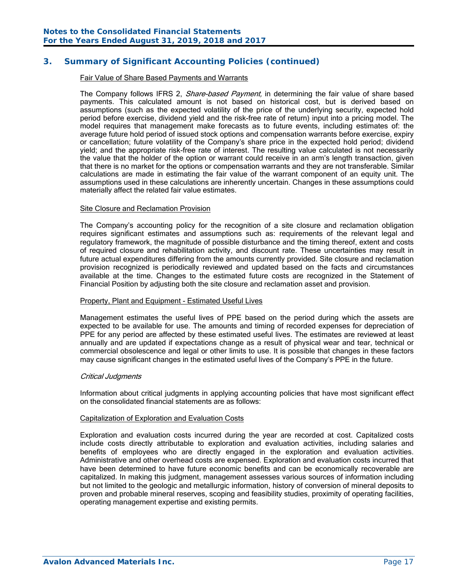#### Fair Value of Share Based Payments and Warrants

The Company follows IFRS 2, *Share-based Payment*, in determining the fair value of share based payments. This calculated amount is not based on historical cost, but is derived based on assumptions (such as the expected volatility of the price of the underlying security, expected hold period before exercise, dividend yield and the risk-free rate of return) input into a pricing model. The model requires that management make forecasts as to future events, including estimates of: the average future hold period of issued stock options and compensation warrants before exercise, expiry or cancellation; future volatility of the Company's share price in the expected hold period; dividend yield; and the appropriate risk-free rate of interest. The resulting value calculated is not necessarily the value that the holder of the option or warrant could receive in an arm's length transaction, given that there is no market for the options or compensation warrants and they are not transferable. Similar calculations are made in estimating the fair value of the warrant component of an equity unit. The assumptions used in these calculations are inherently uncertain. Changes in these assumptions could materially affect the related fair value estimates.

#### Site Closure and Reclamation Provision

The Company's accounting policy for the recognition of a site closure and reclamation obligation requires significant estimates and assumptions such as: requirements of the relevant legal and regulatory framework, the magnitude of possible disturbance and the timing thereof, extent and costs of required closure and rehabilitation activity, and discount rate. These uncertainties may result in future actual expenditures differing from the amounts currently provided. Site closure and reclamation provision recognized is periodically reviewed and updated based on the facts and circumstances available at the time. Changes to the estimated future costs are recognized in the Statement of Financial Position by adjusting both the site closure and reclamation asset and provision.

#### Property, Plant and Equipment - Estimated Useful Lives

Management estimates the useful lives of PPE based on the period during which the assets are expected to be available for use. The amounts and timing of recorded expenses for depreciation of PPE for any period are affected by these estimated useful lives. The estimates are reviewed at least annually and are updated if expectations change as a result of physical wear and tear, technical or commercial obsolescence and legal or other limits to use. It is possible that changes in these factors may cause significant changes in the estimated useful lives of the Company's PPE in the future.

#### Critical Judgments

Information about critical judgments in applying accounting policies that have most significant effect on the consolidated financial statements are as follows:

#### Capitalization of Exploration and Evaluation Costs

Exploration and evaluation costs incurred during the year are recorded at cost. Capitalized costs include costs directly attributable to exploration and evaluation activities, including salaries and benefits of employees who are directly engaged in the exploration and evaluation activities. Administrative and other overhead costs are expensed. Exploration and evaluation costs incurred that have been determined to have future economic benefits and can be economically recoverable are capitalized. In making this judgment, management assesses various sources of information including but not limited to the geologic and metallurgic information, history of conversion of mineral deposits to proven and probable mineral reserves, scoping and feasibility studies, proximity of operating facilities, operating management expertise and existing permits.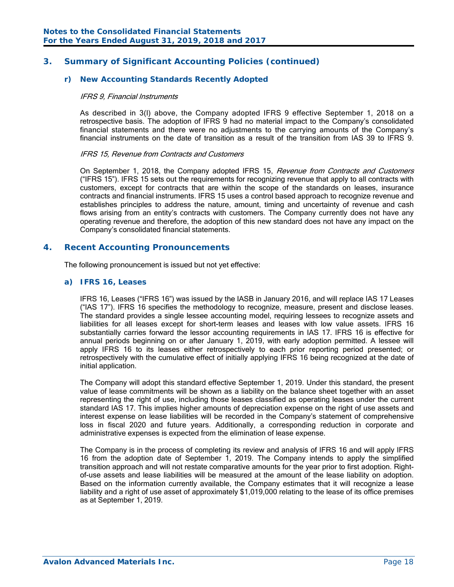### *r) New Accounting Standards Recently Adopted*

#### IFRS 9, Financial Instruments

As described in 3(l) above, the Company adopted IFRS 9 effective September 1, 2018 on a retrospective basis. The adoption of IFRS 9 had no material impact to the Company's consolidated financial statements and there were no adjustments to the carrying amounts of the Company's financial instruments on the date of transition as a result of the transition from IAS 39 to IFRS 9.

#### IFRS 15, Revenue from Contracts and Customers

On September 1, 2018, the Company adopted IFRS 15, Revenue from Contracts and Customers ("IFRS 15"). IFRS 15 sets out the requirements for recognizing revenue that apply to all contracts with customers, except for contracts that are within the scope of the standards on leases, insurance contracts and financial instruments. IFRS 15 uses a control based approach to recognize revenue and establishes principles to address the nature, amount, timing and uncertainty of revenue and cash flows arising from an entity's contracts with customers. The Company currently does not have any operating revenue and therefore, the adoption of this new standard does not have any impact on the Company's consolidated financial statements.

#### **4. Recent Accounting Pronouncements**

The following pronouncement is issued but not yet effective:

#### *a) IFRS 16, Leases*

IFRS 16, Leases ("IFRS 16") was issued by the IASB in January 2016, and will replace IAS 17 Leases ("IAS 17"). IFRS 16 specifies the methodology to recognize, measure, present and disclose leases. The standard provides a single lessee accounting model, requiring lessees to recognize assets and liabilities for all leases except for short-term leases and leases with low value assets. IFRS 16 substantially carries forward the lessor accounting requirements in IAS 17. IFRS 16 is effective for annual periods beginning on or after January 1, 2019, with early adoption permitted. A lessee will apply IFRS 16 to its leases either retrospectively to each prior reporting period presented; or retrospectively with the cumulative effect of initially applying IFRS 16 being recognized at the date of initial application.

The Company will adopt this standard effective September 1, 2019. Under this standard, the present value of lease commitments will be shown as a liability on the balance sheet together with an asset representing the right of use, including those leases classified as operating leases under the current standard IAS 17. This implies higher amounts of depreciation expense on the right of use assets and interest expense on lease liabilities will be recorded in the Company's statement of comprehensive loss in fiscal 2020 and future years. Additionally, a corresponding reduction in corporate and administrative expenses is expected from the elimination of lease expense.

The Company is in the process of completing its review and analysis of IFRS 16 and will apply IFRS 16 from the adoption date of September 1, 2019. The Company intends to apply the simplified transition approach and will not restate comparative amounts for the year prior to first adoption. Rightof-use assets and lease liabilities will be measured at the amount of the lease liability on adoption. Based on the information currently available, the Company estimates that it will recognize a lease liability and a right of use asset of approximately \$1,019,000 relating to the lease of its office premises as at September 1, 2019.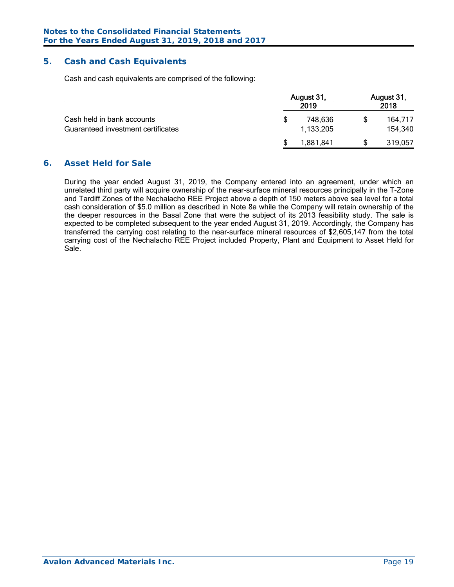### **5. Cash and Cash Equivalents**

Cash and cash equivalents are comprised of the following:

|                                    | August 31,<br>2019 |    | August 31,<br>2018 |  |  |
|------------------------------------|--------------------|----|--------------------|--|--|
| Cash held in bank accounts         | 748,636            | \$ | 164,717            |  |  |
| Guaranteed investment certificates | 1,133,205          |    | 154,340            |  |  |
|                                    | 1,881,841          | S  | 319,057            |  |  |

### **6. Asset Held for Sale**

During the year ended August 31, 2019, the Company entered into an agreement, under which an unrelated third party will acquire ownership of the near-surface mineral resources principally in the T-Zone and Tardiff Zones of the Nechalacho REE Project above a depth of 150 meters above sea level for a total cash consideration of \$5.0 million as described in Note 8a while the Company will retain ownership of the the deeper resources in the Basal Zone that were the subject of its 2013 feasibility study. The sale is expected to be completed subsequent to the year ended August 31, 2019. Accordingly, the Company has transferred the carrying cost relating to the near-surface mineral resources of \$2,605,147 from the total carrying cost of the Nechalacho REE Project included Property, Plant and Equipment to Asset Held for Sale.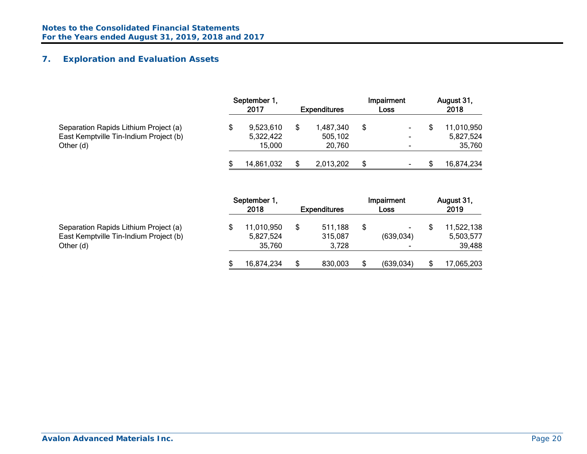## **7. Exploration and Evaluation Assets**

|                                                     | September 1,<br>2017 | <b>Expenditures</b> | Impairment<br>Loss | August 31,<br>2018  |
|-----------------------------------------------------|----------------------|---------------------|--------------------|---------------------|
| Separation Rapids Lithium Project (a)               | 9,523,610            | 1,487,340           | \$                 | 11,010,950          |
| East Kemptville Tin-Indium Project (b)<br>Other (d) | 5,322,422<br>15,000  | 505,102<br>20,760   |                    | 5,827,524<br>35,760 |
|                                                     | 14,861,032           | 2,013,202           | \$                 | 16,874,234          |

|                                                                                              | September 1,<br>2018              | <b>Expenditures</b>         | Impairment<br>Loss   | August 31,<br>2019                |
|----------------------------------------------------------------------------------------------|-----------------------------------|-----------------------------|----------------------|-----------------------------------|
| Separation Rapids Lithium Project (a)<br>East Kemptville Tin-Indium Project (b)<br>Other (d) | 11,010,950<br>5,827,524<br>35,760 | 511,188<br>315,087<br>3.728 | -<br>(639, 034)<br>- | 11,522,138<br>5,503,577<br>39,488 |
|                                                                                              | 16,874,234                        | 830,003                     | (639, 034)           | 17,065,203                        |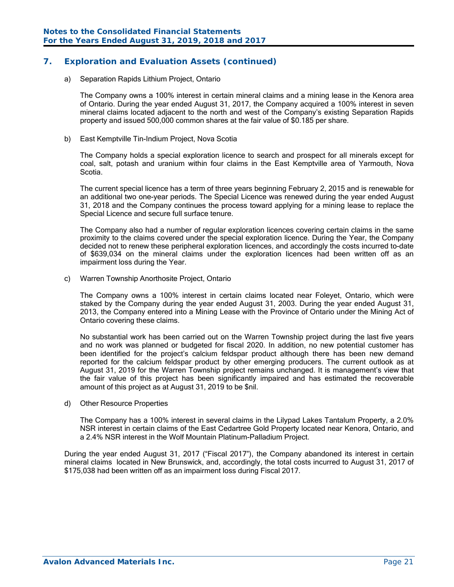### **7. Exploration and Evaluation Assets (continued)**

#### a) Separation Rapids Lithium Project, Ontario

The Company owns a 100% interest in certain mineral claims and a mining lease in the Kenora area of Ontario. During the year ended August 31, 2017, the Company acquired a 100% interest in seven mineral claims located adjacent to the north and west of the Company's existing Separation Rapids property and issued 500,000 common shares at the fair value of \$0.185 per share.

b) East Kemptville Tin-Indium Project, Nova Scotia

The Company holds a special exploration licence to search and prospect for all minerals except for coal, salt, potash and uranium within four claims in the East Kemptville area of Yarmouth, Nova Scotia.

The current special licence has a term of three years beginning February 2, 2015 and is renewable for an additional two one-year periods. The Special Licence was renewed during the year ended August 31, 2018 and the Company continues the process toward applying for a mining lease to replace the Special Licence and secure full surface tenure.

The Company also had a number of regular exploration licences covering certain claims in the same proximity to the claims covered under the special exploration licence. During the Year, the Company decided not to renew these peripheral exploration licences, and accordingly the costs incurred to-date of \$639,034 on the mineral claims under the exploration licences had been written off as an impairment loss during the Year.

c) Warren Township Anorthosite Project, Ontario

The Company owns a 100% interest in certain claims located near Foleyet, Ontario, which were staked by the Company during the year ended August 31, 2003. During the year ended August 31, 2013, the Company entered into a Mining Lease with the Province of Ontario under the Mining Act of Ontario covering these claims.

No substantial work has been carried out on the Warren Township project during the last five years and no work was planned or budgeted for fiscal 2020. In addition, no new potential customer has been identified for the project's calcium feldspar product although there has been new demand reported for the calcium feldspar product by other emerging producers. The current outlook as at August 31, 2019 for the Warren Township project remains unchanged. It is management's view that the fair value of this project has been significantly impaired and has estimated the recoverable amount of this project as at August 31, 2019 to be \$nil.

d) Other Resource Properties

The Company has a 100% interest in several claims in the Lilypad Lakes Tantalum Property, a 2.0% NSR interest in certain claims of the East Cedartree Gold Property located near Kenora, Ontario, and a 2.4% NSR interest in the Wolf Mountain Platinum-Palladium Project.

 During the year ended August 31, 2017 ("Fiscal 2017"), the Company abandoned its interest in certain mineral claims located in New Brunswick, and, accordingly, the total costs incurred to August 31, 2017 of \$175,038 had been written off as an impairment loss during Fiscal 2017.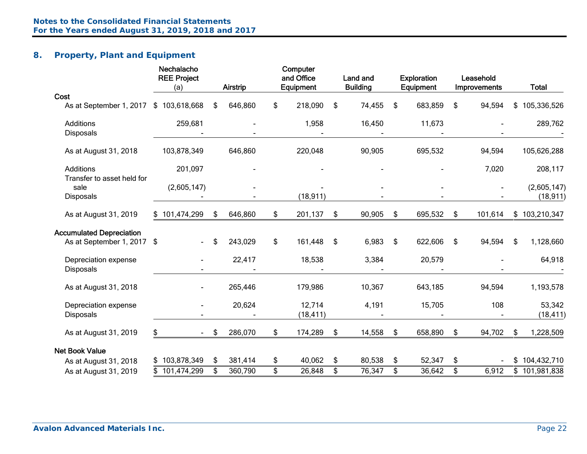## **8. Property, Plant and Equipment**

|                                                | Nechalacho<br><b>REE Project</b><br>(a) | <b>Airstrip</b> | Computer<br>and Office<br>Equipment | Land and<br><b>Building</b> | <b>Exploration</b><br>Equipment | Leasehold<br>Improvements | <b>Total</b>        |
|------------------------------------------------|-----------------------------------------|-----------------|-------------------------------------|-----------------------------|---------------------------------|---------------------------|---------------------|
| Cost                                           |                                         |                 |                                     |                             |                                 |                           |                     |
| As at September 1, 2017                        | \$103,618,668                           | \$<br>646,860   | \$<br>218,090                       | \$<br>74,455                | \$<br>683,859                   | \$<br>94,594              | 105,336,526<br>\$   |
| <b>Additions</b><br><b>Disposals</b>           | 259,681                                 |                 | 1,958                               | 16,450                      | 11,673<br>$\blacksquare$        |                           | 289,762             |
| As at August 31, 2018                          | 103,878,349                             | 646,860         | 220,048                             | 90,905                      | 695,532                         | 94,594                    | 105,626,288         |
| <b>Additions</b><br>Transfer to asset held for | 201,097                                 |                 |                                     |                             |                                 | 7,020                     | 208,117             |
| sale                                           | (2,605,147)                             |                 |                                     |                             |                                 |                           | (2,605,147)         |
| Disposals                                      |                                         |                 | (18, 911)                           |                             |                                 |                           | (18, 911)           |
| As at August 31, 2019                          | \$101,474,299                           | \$<br>646,860   | \$<br>201,137                       | \$<br>90,905                | \$<br>695,532                   | \$<br>101,614             | \$103,210,347       |
| <b>Accumulated Depreciation</b>                |                                         |                 |                                     |                             |                                 |                           |                     |
| As at September 1, 2017 \$                     | $\blacksquare$                          | \$<br>243,029   | \$<br>161,448                       | \$<br>6,983                 | \$<br>622,606                   | \$<br>94,594              | \$<br>1,128,660     |
| Depreciation expense<br>Disposals              |                                         | 22,417          | 18,538                              | 3,384                       | 20,579                          |                           | 64,918              |
| As at August 31, 2018                          |                                         | 265,446         | 179,986                             | 10,367                      | 643,185                         | 94,594                    | 1,193,578           |
| Depreciation expense<br>Disposals              |                                         | 20,624          | 12,714<br>(18, 411)                 | 4,191                       | 15,705                          | 108                       | 53,342<br>(18, 411) |
| As at August 31, 2019                          | \$<br>$\blacksquare$                    | \$<br>286,070   | \$<br>174,289                       | \$<br>14,558                | \$<br>658,890                   | \$<br>94,702              | 1,228,509<br>\$     |
| <b>Net Book Value</b>                          |                                         |                 |                                     |                             |                                 |                           |                     |
| As at August 31, 2018                          | \$103,878,349                           | \$<br>381,414   | \$<br>40,062                        | \$<br>80,538                | \$<br>52,347                    | \$                        | 104,432,710<br>\$   |
| As at August 31, 2019                          | 101,474,299                             | \$<br>360,790   | \$<br>26,848                        | \$<br>76,347                | \$<br>36,642                    | \$<br>6,912               | 101,981,838<br>\$   |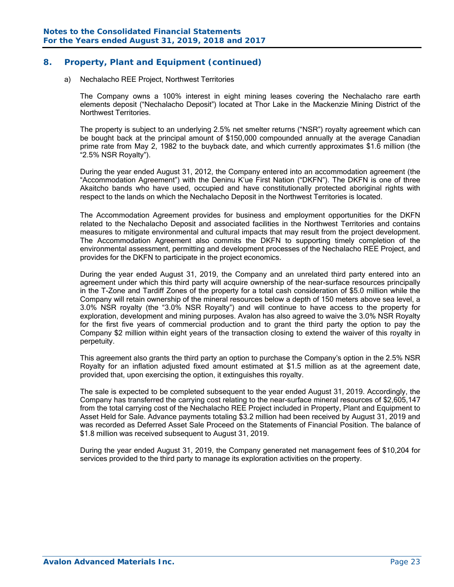### **8. Property, Plant and Equipment (continued)**

#### a) Nechalacho REE Project, Northwest Territories

The Company owns a 100% interest in eight mining leases covering the Nechalacho rare earth elements deposit ("Nechalacho Deposit") located at Thor Lake in the Mackenzie Mining District of the Northwest Territories.

The property is subject to an underlying 2.5% net smelter returns ("NSR") royalty agreement which can be bought back at the principal amount of \$150,000 compounded annually at the average Canadian prime rate from May 2, 1982 to the buyback date, and which currently approximates \$1.6 million (the "2.5% NSR Royalty").

During the year ended August 31, 2012, the Company entered into an accommodation agreement (the "Accommodation Agreement") with the Deninu K'ue First Nation ("DKFN"). The DKFN is one of three Akaitcho bands who have used, occupied and have constitutionally protected aboriginal rights with respect to the lands on which the Nechalacho Deposit in the Northwest Territories is located.

The Accommodation Agreement provides for business and employment opportunities for the DKFN related to the Nechalacho Deposit and associated facilities in the Northwest Territories and contains measures to mitigate environmental and cultural impacts that may result from the project development. The Accommodation Agreement also commits the DKFN to supporting timely completion of the environmental assessment, permitting and development processes of the Nechalacho REE Project, and provides for the DKFN to participate in the project economics.

 During the year ended August 31, 2019, the Company and an unrelated third party entered into an agreement under which this third party will acquire ownership of the near-surface resources principally in the T-Zone and Tardiff Zones of the property for a total cash consideration of \$5.0 million while the Company will retain ownership of the mineral resources below a depth of 150 meters above sea level, a 3.0% NSR royalty (the "3.0% NSR Royalty") and will continue to have access to the property for exploration, development and mining purposes. Avalon has also agreed to waive the 3.0% NSR Royalty for the first five years of commercial production and to grant the third party the option to pay the Company \$2 million within eight years of the transaction closing to extend the waiver of this royalty in perpetuity.

 This agreement also grants the third party an option to purchase the Company's option in the 2.5% NSR Royalty for an inflation adjusted fixed amount estimated at \$1.5 million as at the agreement date, provided that, upon exercising the option, it extinguishes this royalty.

The sale is expected to be completed subsequent to the year ended August 31, 2019. Accordingly, the Company has transferred the carrying cost relating to the near-surface mineral resources of \$2,605,147 from the total carrying cost of the Nechalacho REE Project included in Property, Plant and Equipment to Asset Held for Sale. Advance payments totaling \$3.2 million had been received by August 31, 2019 and was recorded as Deferred Asset Sale Proceed on the Statements of Financial Position. The balance of \$1.8 million was received subsequent to August 31, 2019.

 During the year ended August 31, 2019, the Company generated net management fees of \$10,204 for services provided to the third party to manage its exploration activities on the property.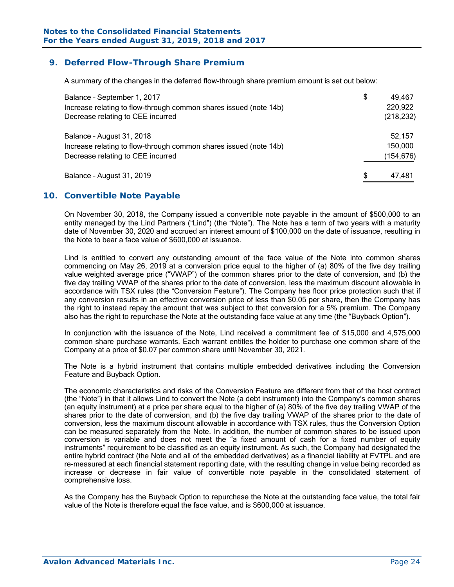### **9. Deferred Flow-Through Share Premium**

A summary of the changes in the deferred flow-through share premium amount is set out below:

| Balance - September 1, 2017<br>Increase relating to flow-through common shares issued (note 14b)<br>Decrease relating to CEE incurred | \$<br>49,467<br>220,922<br>(218, 232) |
|---------------------------------------------------------------------------------------------------------------------------------------|---------------------------------------|
| Balance - August 31, 2018<br>Increase relating to flow-through common shares issued (note 14b)<br>Decrease relating to CEE incurred   | 52,157<br>150,000<br>(154, 676)       |
| Balance - August 31, 2019                                                                                                             | \$<br>47,481                          |

#### **10. Convertible Note Payable**

On November 30, 2018, the Company issued a convertible note payable in the amount of \$500,000 to an entity managed by the Lind Partners ("Lind") (the "Note"). The Note has a term of two years with a maturity date of November 30, 2020 and accrued an interest amount of \$100,000 on the date of issuance, resulting in the Note to bear a face value of \$600,000 at issuance.

Lind is entitled to convert any outstanding amount of the face value of the Note into common shares commencing on May 26, 2019 at a conversion price equal to the higher of (a) 80% of the five day trailing value weighted average price ("VWAP") of the common shares prior to the date of conversion, and (b) the five day trailing VWAP of the shares prior to the date of conversion, less the maximum discount allowable in accordance with TSX rules (the "Conversion Feature"). The Company has floor price protection such that if any conversion results in an effective conversion price of less than \$0.05 per share, then the Company has the right to instead repay the amount that was subject to that conversion for a 5% premium. The Company also has the right to repurchase the Note at the outstanding face value at any time (the "Buyback Option").

In conjunction with the issuance of the Note, Lind received a commitment fee of \$15,000 and 4,575,000 common share purchase warrants. Each warrant entitles the holder to purchase one common share of the Company at a price of \$0.07 per common share until November 30, 2021.

The Note is a hybrid instrument that contains multiple embedded derivatives including the Conversion Feature and Buyback Option.

The economic characteristics and risks of the Conversion Feature are different from that of the host contract (the "Note") in that it allows Lind to convert the Note (a debt instrument) into the Company's common shares (an equity instrument) at a price per share equal to the higher of (a) 80% of the five day trailing VWAP of the shares prior to the date of conversion, and (b) the five day trailing VWAP of the shares prior to the date of conversion, less the maximum discount allowable in accordance with TSX rules, thus the Conversion Option can be measured separately from the Note. In addition, the number of common shares to be issued upon conversion is variable and does not meet the "a fixed amount of cash for a fixed number of equity instruments" requirement to be classified as an equity instrument. As such, the Company had designated the entire hybrid contract (the Note and all of the embedded derivatives) as a financial liability at FVTPL and are re-measured at each financial statement reporting date, with the resulting change in value being recorded as increase or decrease in fair value of convertible note payable in the consolidated statement of comprehensive loss.

As the Company has the Buyback Option to repurchase the Note at the outstanding face value, the total fair value of the Note is therefore equal the face value, and is \$600,000 at issuance.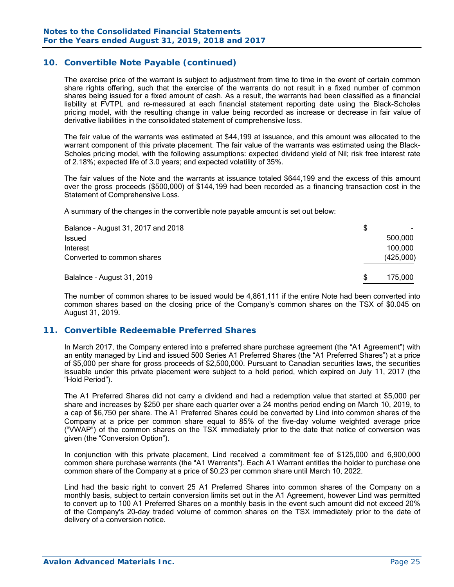### **10. Convertible Note Payable (continued)**

The exercise price of the warrant is subject to adjustment from time to time in the event of certain common share rights offering, such that the exercise of the warrants do not result in a fixed number of common shares being issued for a fixed amount of cash. As a result, the warrants had been classified as a financial liability at FVTPL and re-measured at each financial statement reporting date using the Black-Scholes pricing model, with the resulting change in value being recorded as increase or decrease in fair value of derivative liabilities in the consolidated statement of comprehensive loss.

The fair value of the warrants was estimated at \$44,199 at issuance, and this amount was allocated to the warrant component of this private placement. The fair value of the warrants was estimated using the Black-Scholes pricing model, with the following assumptions: expected dividend yield of Nil; risk free interest rate of 2.18%; expected life of 3.0 years; and expected volatility of 35%.

The fair values of the Note and the warrants at issuance totaled \$644,199 and the excess of this amount over the gross proceeds (\$500,000) of \$144,199 had been recorded as a financing transaction cost in the Statement of Comprehensive Loss.

A summary of the changes in the convertible note payable amount is set out below:

| Balance - August 31, 2017 and 2018 | S   |           |
|------------------------------------|-----|-----------|
| Issued                             |     | 500.000   |
| Interest                           |     | 100,000   |
| Converted to common shares         |     | (425,000) |
| Balalnce - August 31, 2019         | \$. | 175.000   |

The number of common shares to be issued would be 4,861,111 if the entire Note had been converted into common shares based on the closing price of the Company's common shares on the TSX of \$0.045 on August 31, 2019.

#### **11. Convertible Redeemable Preferred Shares**

In March 2017, the Company entered into a preferred share purchase agreement (the "A1 Agreement") with an entity managed by Lind and issued 500 Series A1 Preferred Shares (the "A1 Preferred Shares") at a price of \$5,000 per share for gross proceeds of \$2,500,000. Pursuant to Canadian securities laws, the securities issuable under this private placement were subject to a hold period, which expired on July 11, 2017 (the "Hold Period").

The A1 Preferred Shares did not carry a dividend and had a redemption value that started at \$5,000 per share and increases by \$250 per share each quarter over a 24 months period ending on March 10, 2019, to a cap of \$6,750 per share. The A1 Preferred Shares could be converted by Lind into common shares of the Company at a price per common share equal to 85% of the five-day volume weighted average price ("VWAP") of the common shares on the TSX immediately prior to the date that notice of conversion was given (the "Conversion Option").

In conjunction with this private placement, Lind received a commitment fee of \$125,000 and 6,900,000 common share purchase warrants (the "A1 Warrants"). Each A1 Warrant entitles the holder to purchase one common share of the Company at a price of \$0.23 per common share until March 10, 2022.

Lind had the basic right to convert 25 A1 Preferred Shares into common shares of the Company on a monthly basis, subject to certain conversion limits set out in the A1 Agreement, however Lind was permitted to convert up to 100 A1 Preferred Shares on a monthly basis in the event such amount did not exceed 20% of the Company's 20-day traded volume of common shares on the TSX immediately prior to the date of delivery of a conversion notice.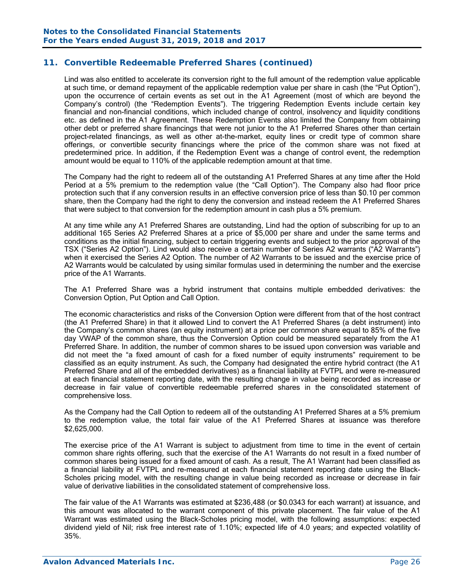Lind was also entitled to accelerate its conversion right to the full amount of the redemption value applicable at such time, or demand repayment of the applicable redemption value per share in cash (the "Put Option"), upon the occurrence of certain events as set out in the A1 Agreement (most of which are beyond the Company's control) (the "Redemption Events"). The triggering Redemption Events include certain key financial and non-financial conditions, which included change of control, insolvency and liquidity conditions etc. as defined in the A1 Agreement. These Redemption Events also limited the Company from obtaining other debt or preferred share financings that were not junior to the A1 Preferred Shares other than certain project-related financings, as well as other at-the-market, equity lines or credit type of common share offerings, or convertible security financings where the price of the common share was not fixed at predetermined price. In addition, if the Redemption Event was a change of control event, the redemption amount would be equal to 110% of the applicable redemption amount at that time.

The Company had the right to redeem all of the outstanding A1 Preferred Shares at any time after the Hold Period at a 5% premium to the redemption value (the "Call Option"). The Company also had floor price protection such that if any conversion results in an effective conversion price of less than \$0.10 per common share, then the Company had the right to deny the conversion and instead redeem the A1 Preferred Shares that were subject to that conversion for the redemption amount in cash plus a 5% premium.

At any time while any A1 Preferred Shares are outstanding, Lind had the option of subscribing for up to an additional 165 Series A2 Preferred Shares at a price of \$5,000 per share and under the same terms and conditions as the initial financing, subject to certain triggering events and subject to the prior approval of the TSX ("Series A2 Option"). Lind would also receive a certain number of Series A2 warrants ("A2 Warrants") when it exercised the Series A2 Option. The number of A2 Warrants to be issued and the exercise price of A2 Warrants would be calculated by using similar formulas used in determining the number and the exercise price of the A1 Warrants.

The A1 Preferred Share was a hybrid instrument that contains multiple embedded derivatives: the Conversion Option, Put Option and Call Option.

The economic characteristics and risks of the Conversion Option were different from that of the host contract (the A1 Preferred Share) in that it allowed Lind to convert the A1 Preferred Shares (a debt instrument) into the Company's common shares (an equity instrument) at a price per common share equal to 85% of the five day VWAP of the common share, thus the Conversion Option could be measured separately from the A1 Preferred Share. In addition, the number of common shares to be issued upon conversion was variable and did not meet the "a fixed amount of cash for a fixed number of equity instruments" requirement to be classified as an equity instrument. As such, the Company had designated the entire hybrid contract (the A1 Preferred Share and all of the embedded derivatives) as a financial liability at FVTPL and were re-measured at each financial statement reporting date, with the resulting change in value being recorded as increase or decrease in fair value of convertible redeemable preferred shares in the consolidated statement of comprehensive loss.

As the Company had the Call Option to redeem all of the outstanding A1 Preferred Shares at a 5% premium to the redemption value, the total fair value of the A1 Preferred Shares at issuance was therefore \$2,625,000.

The exercise price of the A1 Warrant is subject to adjustment from time to time in the event of certain common share rights offering, such that the exercise of the A1 Warrants do not result in a fixed number of common shares being issued for a fixed amount of cash. As a result, The A1 Warrant had been classified as a financial liability at FVTPL and re-measured at each financial statement reporting date using the Black-Scholes pricing model, with the resulting change in value being recorded as increase or decrease in fair value of derivative liabilities in the consolidated statement of comprehensive loss.

 The fair value of the A1 Warrants was estimated at \$236,488 (or \$0.0343 for each warrant) at issuance, and this amount was allocated to the warrant component of this private placement. The fair value of the A1 Warrant was estimated using the Black-Scholes pricing model, with the following assumptions: expected dividend yield of Nil; risk free interest rate of 1.10%; expected life of 4.0 years; and expected volatility of 35%.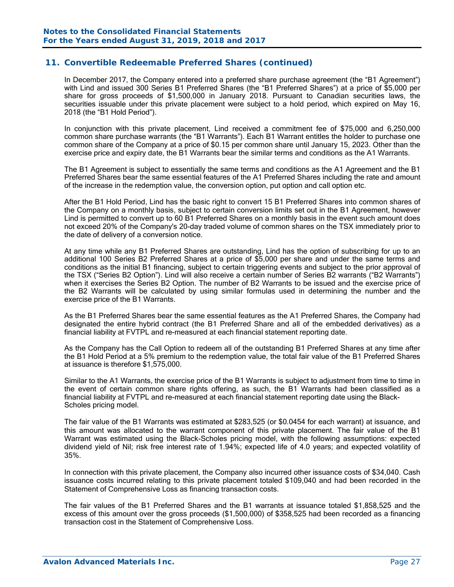In December 2017, the Company entered into a preferred share purchase agreement (the "B1 Agreement") with Lind and issued 300 Series B1 Preferred Shares (the "B1 Preferred Shares") at a price of \$5,000 per share for gross proceeds of \$1,500,000 in January 2018. Pursuant to Canadian securities laws, the securities issuable under this private placement were subject to a hold period, which expired on May 16, 2018 (the "B1 Hold Period").

In conjunction with this private placement, Lind received a commitment fee of \$75,000 and 6,250,000 common share purchase warrants (the "B1 Warrants"). Each B1 Warrant entitles the holder to purchase one common share of the Company at a price of \$0.15 per common share until January 15, 2023. Other than the exercise price and expiry date, the B1 Warrants bear the similar terms and conditions as the A1 Warrants.

The B1 Agreement is subject to essentially the same terms and conditions as the A1 Agreement and the B1 Preferred Shares bear the same essential features of the A1 Preferred Shares including the rate and amount of the increase in the redemption value, the conversion option, put option and call option etc.

After the B1 Hold Period, Lind has the basic right to convert 15 B1 Preferred Shares into common shares of the Company on a monthly basis, subject to certain conversion limits set out in the B1 Agreement, however Lind is permitted to convert up to 60 B1 Preferred Shares on a monthly basis in the event such amount does not exceed 20% of the Company's 20-day traded volume of common shares on the TSX immediately prior to the date of delivery of a conversion notice.

At any time while any B1 Preferred Shares are outstanding, Lind has the option of subscribing for up to an additional 100 Series B2 Preferred Shares at a price of \$5,000 per share and under the same terms and conditions as the initial B1 financing, subject to certain triggering events and subject to the prior approval of the TSX ("Series B2 Option"). Lind will also receive a certain number of Series B2 warrants ("B2 Warrants") when it exercises the Series B2 Option. The number of B2 Warrants to be issued and the exercise price of the B2 Warrants will be calculated by using similar formulas used in determining the number and the exercise price of the B1 Warrants.

As the B1 Preferred Shares bear the same essential features as the A1 Preferred Shares, the Company had designated the entire hybrid contract (the B1 Preferred Share and all of the embedded derivatives) as a financial liability at FVTPL and re-measured at each financial statement reporting date.

As the Company has the Call Option to redeem all of the outstanding B1 Preferred Shares at any time after the B1 Hold Period at a 5% premium to the redemption value, the total fair value of the B1 Preferred Shares at issuance is therefore \$1,575,000.

Similar to the A1 Warrants, the exercise price of the B1 Warrants is subject to adjustment from time to time in the event of certain common share rights offering, as such, the B1 Warrants had been classified as a financial liability at FVTPL and re-measured at each financial statement reporting date using the Black-Scholes pricing model.

 The fair value of the B1 Warrants was estimated at \$283,525 (or \$0.0454 for each warrant) at issuance, and this amount was allocated to the warrant component of this private placement. The fair value of the B1 Warrant was estimated using the Black-Scholes pricing model, with the following assumptions: expected dividend yield of Nil; risk free interest rate of 1.94%; expected life of 4.0 years; and expected volatility of 35%.

In connection with this private placement, the Company also incurred other issuance costs of \$34,040. Cash issuance costs incurred relating to this private placement totaled \$109,040 and had been recorded in the Statement of Comprehensive Loss as financing transaction costs.

The fair values of the B1 Preferred Shares and the B1 warrants at issuance totaled \$1,858,525 and the excess of this amount over the gross proceeds (\$1,500,000) of \$358,525 had been recorded as a financing transaction cost in the Statement of Comprehensive Loss.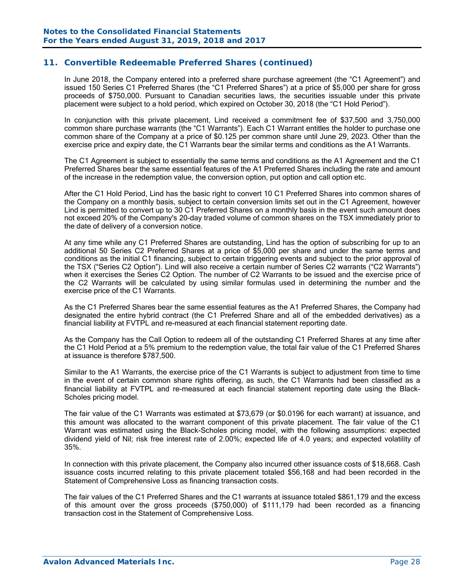In June 2018, the Company entered into a preferred share purchase agreement (the "C1 Agreement") and issued 150 Series C1 Preferred Shares (the "C1 Preferred Shares") at a price of \$5,000 per share for gross proceeds of \$750,000. Pursuant to Canadian securities laws, the securities issuable under this private placement were subject to a hold period, which expired on October 30, 2018 (the "C1 Hold Period").

In conjunction with this private placement, Lind received a commitment fee of \$37,500 and 3,750,000 common share purchase warrants (the "C1 Warrants"). Each C1 Warrant entitles the holder to purchase one common share of the Company at a price of \$0.125 per common share until June 29, 2023. Other than the exercise price and expiry date, the C1 Warrants bear the similar terms and conditions as the A1 Warrants.

The C1 Agreement is subject to essentially the same terms and conditions as the A1 Agreement and the C1 Preferred Shares bear the same essential features of the A1 Preferred Shares including the rate and amount of the increase in the redemption value, the conversion option, put option and call option etc.

After the C1 Hold Period, Lind has the basic right to convert 10 C1 Preferred Shares into common shares of the Company on a monthly basis, subject to certain conversion limits set out in the C1 Agreement, however Lind is permitted to convert up to 30 C1 Preferred Shares on a monthly basis in the event such amount does not exceed 20% of the Company's 20-day traded volume of common shares on the TSX immediately prior to the date of delivery of a conversion notice.

At any time while any C1 Preferred Shares are outstanding, Lind has the option of subscribing for up to an additional 50 Series C2 Preferred Shares at a price of \$5,000 per share and under the same terms and conditions as the initial C1 financing, subject to certain triggering events and subject to the prior approval of the TSX ("Series C2 Option"). Lind will also receive a certain number of Series C2 warrants ("C2 Warrants") when it exercises the Series C2 Option. The number of C2 Warrants to be issued and the exercise price of the C2 Warrants will be calculated by using similar formulas used in determining the number and the exercise price of the C1 Warrants.

As the C1 Preferred Shares bear the same essential features as the A1 Preferred Shares, the Company had designated the entire hybrid contract (the C1 Preferred Share and all of the embedded derivatives) as a financial liability at FVTPL and re-measured at each financial statement reporting date.

As the Company has the Call Option to redeem all of the outstanding C1 Preferred Shares at any time after the C1 Hold Period at a 5% premium to the redemption value, the total fair value of the C1 Preferred Shares at issuance is therefore \$787,500.

Similar to the A1 Warrants, the exercise price of the C1 Warrants is subject to adjustment from time to time in the event of certain common share rights offering, as such, the C1 Warrants had been classified as a financial liability at FVTPL and re-measured at each financial statement reporting date using the Black-Scholes pricing model.

The fair value of the C1 Warrants was estimated at \$73,679 (or \$0.0196 for each warrant) at issuance, and this amount was allocated to the warrant component of this private placement. The fair value of the C1 Warrant was estimated using the Black-Scholes pricing model, with the following assumptions: expected dividend yield of Nil; risk free interest rate of 2.00%; expected life of 4.0 years; and expected volatility of 35%.

In connection with this private placement, the Company also incurred other issuance costs of \$18,668. Cash issuance costs incurred relating to this private placement totaled \$56,168 and had been recorded in the Statement of Comprehensive Loss as financing transaction costs.

The fair values of the C1 Preferred Shares and the C1 warrants at issuance totaled \$861,179 and the excess of this amount over the gross proceeds (\$750,000) of \$111,179 had been recorded as a financing transaction cost in the Statement of Comprehensive Loss.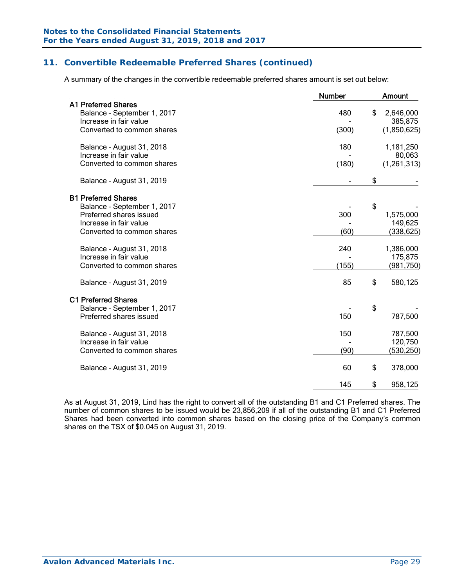A summary of the changes in the convertible redeemable preferred shares amount is set out below:

|                                                                                     | <b>Number</b> | <b>Amount</b>              |
|-------------------------------------------------------------------------------------|---------------|----------------------------|
| <b>A1 Preferred Shares</b><br>Balance - September 1, 2017<br>Increase in fair value | 480           | \$<br>2,646,000<br>385,875 |
| Converted to common shares                                                          | (300)         | (1,850,625)                |
| Balance - August 31, 2018<br>Increase in fair value                                 | 180           | 1,181,250<br>80,063        |
| Converted to common shares                                                          | (180)         | (1, 261, 313)              |
| Balance - August 31, 2019                                                           |               | \$                         |
| <b>B1 Preferred Shares</b>                                                          |               |                            |
| Balance - September 1, 2017<br>Preferred shares issued                              | 300           | \$<br>1,575,000            |
| Increase in fair value                                                              |               | 149,625                    |
| Converted to common shares                                                          | (60)          | (338, 625)                 |
| Balance - August 31, 2018                                                           | 240           | 1,386,000                  |
| Increase in fair value<br>Converted to common shares                                | (155)         | 175,875<br>(981, 750)      |
| Balance - August 31, 2019                                                           | 85            | \$<br>580,125              |
| <b>C1 Preferred Shares</b>                                                          |               |                            |
| Balance - September 1, 2017                                                         |               | \$                         |
| Preferred shares issued                                                             | 150           | 787,500                    |
| Balance - August 31, 2018                                                           | 150           | 787,500                    |
| Increase in fair value<br>Converted to common shares                                | (90)          | 120,750                    |
|                                                                                     |               | (530,250)                  |
| Balance - August 31, 2019                                                           | 60            | \$<br>378,000              |
|                                                                                     | 145           | \$<br>958,125              |
|                                                                                     |               |                            |

As at August 31, 2019, Lind has the right to convert all of the outstanding B1 and C1 Preferred shares. The number of common shares to be issued would be 23,856,209 if all of the outstanding B1 and C1 Preferred Shares had been converted into common shares based on the closing price of the Company's common shares on the TSX of \$0.045 on August 31, 2019.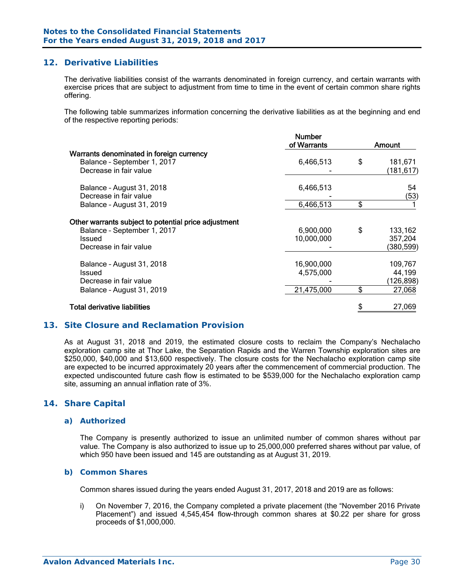### **12. Derivative Liabilities**

The derivative liabilities consist of the warrants denominated in foreign currency, and certain warrants with exercise prices that are subject to adjustment from time to time in the event of certain common share rights offering.

The following table summarizes information concerning the derivative liabilities as at the beginning and end of the respective reporting periods:

|                                                      | <b>Number</b><br>of Warrants | Amount        |
|------------------------------------------------------|------------------------------|---------------|
| Warrants denominated in foreign currency             |                              |               |
| Balance - September 1, 2017                          | 6,466,513                    | \$<br>181,671 |
| Decrease in fair value                               |                              | (181, 617)    |
| Balance - August 31, 2018                            | 6,466,513                    | 54            |
| Decrease in fair value                               |                              | (53)          |
| Balance - August 31, 2019                            | 6,466,513                    | \$            |
| Other warrants subject to potential price adjustment |                              |               |
| Balance - September 1, 2017                          | 6,900,000                    | \$<br>133,162 |
| Issued                                               | 10,000,000                   | 357,204       |
| Decrease in fair value                               |                              | (380, 599)    |
| Balance - August 31, 2018                            | 16,900,000                   | 109,767       |
| Issued                                               | 4,575,000                    | 44,199        |
| Decrease in fair value                               |                              | (126,898)     |
| Balance - August 31, 2019                            | 21,475,000                   | \$<br>27,068  |
| Total derivative liabilities                         |                              | 27,069        |

### **13. Site Closure and Reclamation Provision**

As at August 31, 2018 and 2019, the estimated closure costs to reclaim the Company's Nechalacho exploration camp site at Thor Lake, the Separation Rapids and the Warren Township exploration sites are \$250,000, \$40,000 and \$13,600 respectively. The closure costs for the Nechalacho exploration camp site are expected to be incurred approximately 20 years after the commencement of commercial production. The expected undiscounted future cash flow is estimated to be \$539,000 for the Nechalacho exploration camp site, assuming an annual inflation rate of 3%.

### **14. Share Capital**

#### *a) Authorized*

The Company is presently authorized to issue an unlimited number of common shares without par value. The Company is also authorized to issue up to 25,000,000 preferred shares without par value, of which 950 have been issued and 145 are outstanding as at August 31, 2019.

#### *b) Common Shares*

Common shares issued during the years ended August 31, 2017, 2018 and 2019 are as follows:

i) On November 7, 2016, the Company completed a private placement (the "November 2016 Private Placement") and issued 4,545,454 flow-through common shares at \$0.22 per share for gross proceeds of \$1,000,000.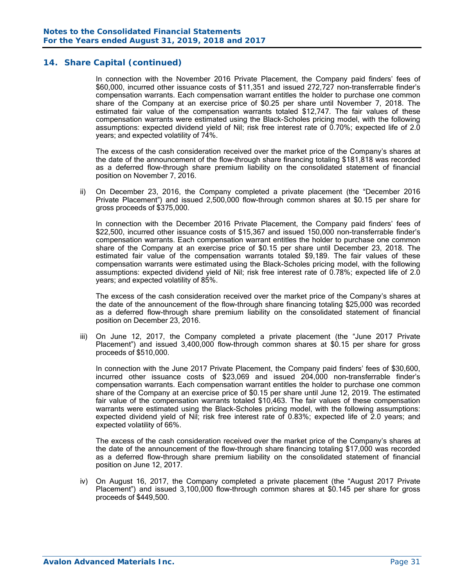In connection with the November 2016 Private Placement, the Company paid finders' fees of \$60,000, incurred other issuance costs of \$11,351 and issued 272,727 non-transferrable finder's compensation warrants. Each compensation warrant entitles the holder to purchase one common share of the Company at an exercise price of \$0.25 per share until November 7, 2018. The estimated fair value of the compensation warrants totaled \$12,747. The fair values of these compensation warrants were estimated using the Black-Scholes pricing model, with the following assumptions: expected dividend yield of Nil; risk free interest rate of 0.70%; expected life of 2.0 years; and expected volatility of 74%.

 The excess of the cash consideration received over the market price of the Company's shares at the date of the announcement of the flow-through share financing totaling \$181,818 was recorded as a deferred flow-through share premium liability on the consolidated statement of financial position on November 7, 2016.

ii) On December 23, 2016, the Company completed a private placement (the "December 2016 Private Placement") and issued 2,500,000 flow-through common shares at \$0.15 per share for gross proceeds of \$375,000.

 In connection with the December 2016 Private Placement, the Company paid finders' fees of \$22,500, incurred other issuance costs of \$15,367 and issued 150,000 non-transferrable finder's compensation warrants. Each compensation warrant entitles the holder to purchase one common share of the Company at an exercise price of \$0.15 per share until December 23, 2018. The estimated fair value of the compensation warrants totaled \$9,189. The fair values of these compensation warrants were estimated using the Black-Scholes pricing model, with the following assumptions: expected dividend yield of Nil; risk free interest rate of 0.78%; expected life of 2.0 years; and expected volatility of 85%.

 The excess of the cash consideration received over the market price of the Company's shares at the date of the announcement of the flow-through share financing totaling \$25,000 was recorded as a deferred flow-through share premium liability on the consolidated statement of financial position on December 23, 2016.

iii) On June 12, 2017, the Company completed a private placement (the "June 2017 Private Placement") and issued 3,400,000 flow-through common shares at \$0.15 per share for gross proceeds of \$510,000.

In connection with the June 2017 Private Placement, the Company paid finders' fees of \$30,600, incurred other issuance costs of \$23,069 and issued 204,000 non-transferrable finder's compensation warrants. Each compensation warrant entitles the holder to purchase one common share of the Company at an exercise price of \$0.15 per share until June 12, 2019. The estimated fair value of the compensation warrants totaled \$10,463. The fair values of these compensation warrants were estimated using the Black-Scholes pricing model, with the following assumptions: expected dividend yield of Nil; risk free interest rate of 0.83%; expected life of 2.0 years; and expected volatility of 66%.

The excess of the cash consideration received over the market price of the Company's shares at the date of the announcement of the flow-through share financing totaling \$17,000 was recorded as a deferred flow-through share premium liability on the consolidated statement of financial position on June 12, 2017.

iv) On August 16, 2017, the Company completed a private placement (the "August 2017 Private Placement") and issued 3,100,000 flow-through common shares at \$0.145 per share for gross proceeds of \$449,500.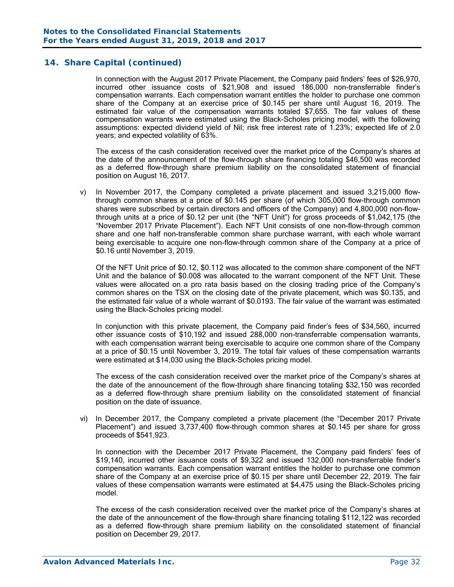In connection with the August 2017 Private Placement, the Company paid finders' fees of \$26,970, incurred other issuance costs of \$21,908 and issued 186,000 non-transferrable finder's compensation warrants. Each compensation warrant entitles the holder to purchase one common share of the Company at an exercise price of \$0.145 per share until August 16, 2019. The estimated fair value of the compensation warrants totaled \$7,655. The fair values of these compensation warrants were estimated using the Black-Scholes pricing model, with the following assumptions: expected dividend yield of Nil; risk free interest rate of 1.23%; expected life of 2.0 years; and expected volatility of 63%.

The excess of the cash consideration received over the market price of the Company's shares at the date of the announcement of the flow-through share financing totaling \$46,500 was recorded as a deferred flow-through share premium liability on the consolidated statement of financial position on August 16, 2017.

v) In November 2017, the Company completed a private placement and issued 3,215,000 flowthrough common shares at a price of \$0.145 per share (of which 305,000 flow-through common shares were subscribed by certain directors and officers of the Company) and 4,800,000 non-flowthrough units at a price of \$0.12 per unit (the "NFT Unit") for gross proceeds of \$1,042,175 (the "November 2017 Private Placement"). Each NFT Unit consists of one non-flow-through common share and one half non-transferable common share purchase warrant, with each whole warrant being exercisable to acquire one non-flow-through common share of the Company at a price of \$0.16 until November 3, 2019.

 Of the NFT Unit price of \$0.12, \$0.112 was allocated to the common share component of the NFT Unit and the balance of \$0.008 was allocated to the warrant component of the NFT Unit. These values were allocated on a pro rata basis based on the closing trading price of the Company's common shares on the TSX on the closing date of the private placement, which was \$0.135, and the estimated fair value of a whole warrant of \$0.0193. The fair value of the warrant was estimated using the Black-Scholes pricing model.

In conjunction with this private placement, the Company paid finder's fees of \$34,560, incurred other issuance costs of \$10,192 and issued 288,000 non-transferrable compensation warrants, with each compensation warrant being exercisable to acquire one common share of the Company at a price of \$0.15 until November 3, 2019. The total fair values of these compensation warrants were estimated at \$14,030 using the Black-Scholes pricing model.

 The excess of the cash consideration received over the market price of the Company's shares at the date of the announcement of the flow-through share financing totaling \$32,150 was recorded as a deferred flow-through share premium liability on the consolidated statement of financial position on the date of issuance.

vi) In December 2017, the Company completed a private placement (the "December 2017 Private Placement") and issued 3,737,400 flow-through common shares at \$0.145 per share for gross proceeds of \$541,923.

In connection with the December 2017 Private Placement, the Company paid finders' fees of \$19,140, incurred other issuance costs of \$9,322 and issued 132,000 non-transferrable finder's compensation warrants. Each compensation warrant entitles the holder to purchase one common share of the Company at an exercise price of \$0.15 per share until December 22, 2019. The fair values of these compensation warrants were estimated at \$4,475 using the Black-Scholes pricing model.

The excess of the cash consideration received over the market price of the Company's shares at the date of the announcement of the flow-through share financing totaling \$112,122 was recorded as a deferred flow-through share premium liability on the consolidated statement of financial position on December 29, 2017.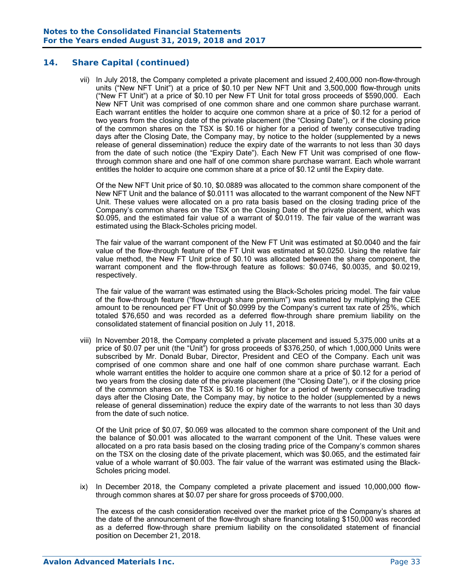vii) In July 2018, the Company completed a private placement and issued 2,400,000 non-flow-through units ("New NFT Unit") at a price of \$0.10 per New NFT Unit and 3,500,000 flow-through units ("New FT Unit") at a price of \$0.10 per New FT Unit for total gross proceeds of \$590,000. Each New NFT Unit was comprised of one common share and one common share purchase warrant. Each warrant entitles the holder to acquire one common share at a price of \$0.12 for a period of two years from the closing date of the private placement (the "Closing Date"), or if the closing price of the common shares on the TSX is \$0.16 or higher for a period of twenty consecutive trading days after the Closing Date, the Company may, by notice to the holder (supplemented by a news release of general dissemination) reduce the expiry date of the warrants to not less than 30 days from the date of such notice (the "Expiry Date"). Each New FT Unit was comprised of one flowthrough common share and one half of one common share purchase warrant. Each whole warrant entitles the holder to acquire one common share at a price of \$0.12 until the Expiry date.

 Of the New NFT Unit price of \$0.10, \$0.0889 was allocated to the common share component of the New NFT Unit and the balance of \$0.0111 was allocated to the warrant component of the New NFT Unit. These values were allocated on a pro rata basis based on the closing trading price of the Company's common shares on the TSX on the Closing Date of the private placement, which was \$0.095, and the estimated fair value of a warrant of \$0.0119. The fair value of the warrant was estimated using the Black-Scholes pricing model.

The fair value of the warrant component of the New FT Unit was estimated at \$0.0040 and the fair value of the flow-through feature of the FT Unit was estimated at \$0.0250. Using the relative fair value method, the New FT Unit price of \$0.10 was allocated between the share component, the warrant component and the flow-through feature as follows: \$0.0746, \$0.0035, and \$0.0219, respectively.

 The fair value of the warrant was estimated using the Black-Scholes pricing model. The fair value of the flow-through feature ("flow-through share premium") was estimated by multiplying the CEE amount to be renounced per FT Unit of \$0.0999 by the Company's current tax rate of 25%, which totaled \$76,650 and was recorded as a deferred flow-through share premium liability on the consolidated statement of financial position on July 11, 2018.

viii) In November 2018, the Company completed a private placement and issued 5,375,000 units at a price of \$0.07 per unit (the "Unit") for gross proceeds of \$376,250, of which 1,000,000 Units were subscribed by Mr. Donald Bubar, Director, President and CEO of the Company. Each unit was comprised of one common share and one half of one common share purchase warrant. Each whole warrant entitles the holder to acquire one common share at a price of \$0.12 for a period of two years from the closing date of the private placement (the "Closing Date"), or if the closing price of the common shares on the TSX is \$0.16 or higher for a period of twenty consecutive trading days after the Closing Date, the Company may, by notice to the holder (supplemented by a news release of general dissemination) reduce the expiry date of the warrants to not less than 30 days from the date of such notice.

Of the Unit price of \$0.07, \$0.069 was allocated to the common share component of the Unit and the balance of \$0.001 was allocated to the warrant component of the Unit. These values were allocated on a pro rata basis based on the closing trading price of the Company's common shares on the TSX on the closing date of the private placement, which was \$0.065, and the estimated fair value of a whole warrant of \$0.003. The fair value of the warrant was estimated using the Black-Scholes pricing model.

ix) In December 2018, the Company completed a private placement and issued 10,000,000 flowthrough common shares at \$0.07 per share for gross proceeds of \$700,000.

 The excess of the cash consideration received over the market price of the Company's shares at the date of the announcement of the flow-through share financing totaling \$150,000 was recorded as a deferred flow-through share premium liability on the consolidated statement of financial position on December 21, 2018.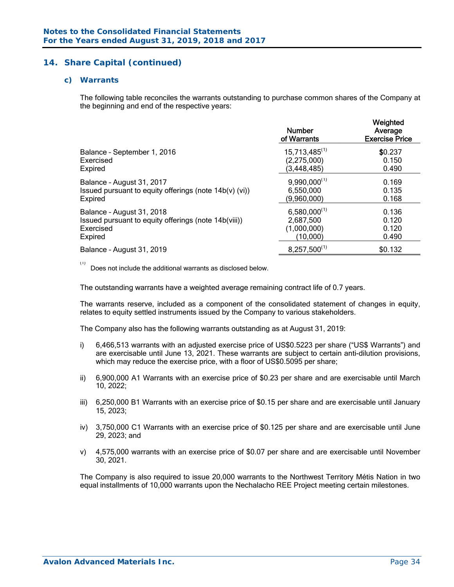#### *c) Warrants*

The following table reconciles the warrants outstanding to purchase common shares of the Company at the beginning and end of the respective years:

| $15,713,485^{(1)}$<br>\$0.237<br>Balance - September 1, 2016<br>(2, 275, 000)<br>Exercised<br>0.150<br>(3, 448, 485)<br>0.490<br>Expired<br>$9,990,000^{(1)}$<br>0.169<br>Balance - August 31, 2017<br>Issued pursuant to equity offerings (note 14b(v) (vi))<br>6,550,000<br>0.135<br>0.168<br>(9,960,000)<br>Expired<br>$6,580,000^{(1)}$<br>0.136<br>Balance - August 31, 2018<br>2,687,500<br>0.120<br>Issued pursuant to equity offerings (note 14b(viii))<br>(1,000,000)<br>0.120<br>Exercised<br>(10,000)<br>Expired<br>0.490<br>$8,257,500^{(1)}$<br>\$0.132<br>Balance - August 31, 2019 |  | <b>Number</b><br>of Warrants | Weighted<br>Average<br><b>Exercise Price</b> |
|---------------------------------------------------------------------------------------------------------------------------------------------------------------------------------------------------------------------------------------------------------------------------------------------------------------------------------------------------------------------------------------------------------------------------------------------------------------------------------------------------------------------------------------------------------------------------------------------------|--|------------------------------|----------------------------------------------|
|                                                                                                                                                                                                                                                                                                                                                                                                                                                                                                                                                                                                   |  |                              |                                              |
|                                                                                                                                                                                                                                                                                                                                                                                                                                                                                                                                                                                                   |  |                              |                                              |
|                                                                                                                                                                                                                                                                                                                                                                                                                                                                                                                                                                                                   |  |                              |                                              |
|                                                                                                                                                                                                                                                                                                                                                                                                                                                                                                                                                                                                   |  |                              |                                              |

 $(1)$ 

Does not include the additional warrants as disclosed below.

The outstanding warrants have a weighted average remaining contract life of 0.7 years.

The warrants reserve, included as a component of the consolidated statement of changes in equity, relates to equity settled instruments issued by the Company to various stakeholders.

The Company also has the following warrants outstanding as at August 31, 2019:

- i) 6,466,513 warrants with an adjusted exercise price of US\$0.5223 per share ("US\$ Warrants") and are exercisable until June 13, 2021. These warrants are subject to certain anti-dilution provisions, which may reduce the exercise price, with a floor of US\$0.5095 per share;
- ii) 6,900,000 A1 Warrants with an exercise price of \$0.23 per share and are exercisable until March 10, 2022;
- iii) 6,250,000 B1 Warrants with an exercise price of \$0.15 per share and are exercisable until January 15, 2023;
- iv) 3,750,000 C1 Warrants with an exercise price of \$0.125 per share and are exercisable until June 29, 2023; and
- v) 4,575,000 warrants with an exercise price of \$0.07 per share and are exercisable until November 30, 2021.

The Company is also required to issue 20,000 warrants to the Northwest Territory Métis Nation in two equal installments of 10,000 warrants upon the Nechalacho REE Project meeting certain milestones.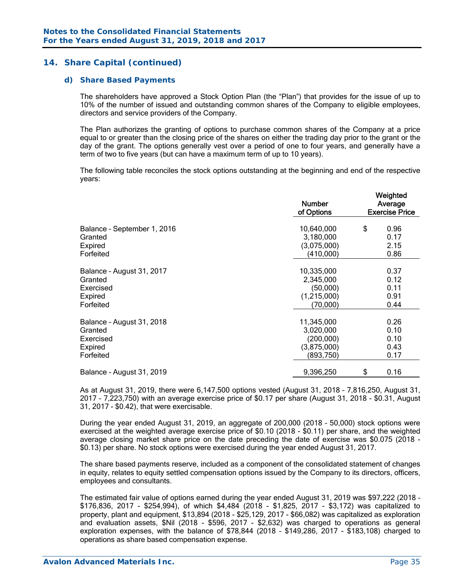#### *d) Share Based Payments*

The shareholders have approved a Stock Option Plan (the "Plan") that provides for the issue of up to 10% of the number of issued and outstanding common shares of the Company to eligible employees, directors and service providers of the Company.

The Plan authorizes the granting of options to purchase common shares of the Company at a price equal to or greater than the closing price of the shares on either the trading day prior to the grant or the day of the grant. The options generally vest over a period of one to four years, and generally have a term of two to five years (but can have a maximum term of up to 10 years).

The following table reconciles the stock options outstanding at the beginning and end of the respective years:

|                             | <b>Number</b><br>of Options | Weighted<br>Average<br><b>Exercise Price</b> |      |  |  |
|-----------------------------|-----------------------------|----------------------------------------------|------|--|--|
| Balance - September 1, 2016 | 10,640,000                  | \$                                           | 0.96 |  |  |
| Granted                     | 3,180,000                   |                                              | 0.17 |  |  |
| Expired                     | (3,075,000)                 |                                              | 2.15 |  |  |
| Forfeited                   | (410,000)                   |                                              | 0.86 |  |  |
| Balance - August 31, 2017   | 10,335,000                  |                                              | 0.37 |  |  |
| Granted                     | 2,345,000                   |                                              | 0.12 |  |  |
| Exercised                   | (50,000)                    |                                              | 0.11 |  |  |
| Expired                     | (1,215,000)                 |                                              | 0.91 |  |  |
| Forfeited                   | (70,000)                    |                                              | 0.44 |  |  |
| Balance - August 31, 2018   | 11,345,000                  |                                              | 0.26 |  |  |
| Granted                     | 3,020,000                   |                                              | 0.10 |  |  |
| Exercised                   | (200,000)                   |                                              | 0.10 |  |  |
| Expired                     | (3,875,000)                 |                                              | 0.43 |  |  |
| Forfeited                   | (893,750)                   |                                              | 0.17 |  |  |
| Balance - August 31, 2019   | 9,396,250                   | \$                                           | 0.16 |  |  |

As at August 31, 2019, there were 6,147,500 options vested (August 31, 2018 – 7,816,250, August 31, 2017 – 7,223,750) with an average exercise price of \$0.17 per share (August 31, 2018 - \$0.31, August 31, 2017 - \$0.42), that were exercisable.

During the year ended August 31, 2019, an aggregate of 200,000 (2018 – 50,000) stock options were exercised at the weighted average exercise price of \$0.10 (2018 - \$0.11) per share, and the weighted average closing market share price on the date preceding the date of exercise was \$0.075 (2018 - \$0.13) per share. No stock options were exercised during the year ended August 31, 2017.

The share based payments reserve, included as a component of the consolidated statement of changes in equity, relates to equity settled compensation options issued by the Company to its directors, officers, employees and consultants.

The estimated fair value of options earned during the year ended August 31, 2019 was \$97,222 (2018 – \$176,836, 2017 - \$254,994), of which \$4,484 (2018 - \$1,825, 2017 - \$3,172) was capitalized to property, plant and equipment, \$13,894 (2018 - \$25,129, 2017 - \$66,082) was capitalized as exploration and evaluation assets, \$Nil (2018 - \$596, 2017 - \$2,632) was charged to operations as general exploration expenses, with the balance of \$78,844 (2018 – \$149,286, 2017 - \$183,108) charged to operations as share based compensation expense.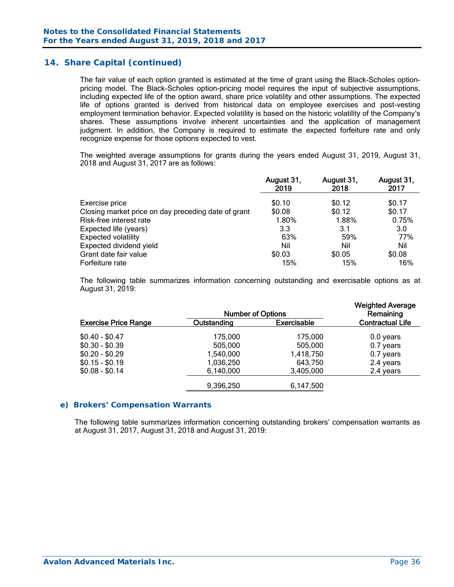The fair value of each option granted is estimated at the time of grant using the Black-Scholes optionpricing model. The Black-Scholes option-pricing model requires the input of subjective assumptions, including expected life of the option award, share price volatility and other assumptions. The expected life of options granted is derived from historical data on employee exercises and post-vesting employment termination behavior. Expected volatility is based on the historic volatility of the Company's shares. These assumptions involve inherent uncertainties and the application of management judgment. In addition, the Company is required to estimate the expected forfeiture rate and only recognize expense for those options expected to vest.

The weighted average assumptions for grants during the years ended August 31, 2019, August 31, 2018 and August 31, 2017 are as follows:

|                                                     | August 31,<br>2019 | August 31,<br>2018 | August 31,<br>2017 |
|-----------------------------------------------------|--------------------|--------------------|--------------------|
| Exercise price                                      | \$0.10             | \$0.12             | \$0.17             |
| Closing market price on day preceding date of grant | \$0.08             | \$0.12             | \$0.17             |
| Risk-free interest rate                             | 1.80%              | 1.88%              | 0.75%              |
| Expected life (years)                               | 3.3                | 3.1                | 3.0                |
| <b>Expected volatility</b>                          | 63%                | 59%                | 77%                |
| Expected dividend yield                             | Nil                | Nil                | Nil                |
| Grant date fair value                               | \$0.03             | \$0.05             | \$0.08             |
| Forfeiture rate                                     | 15%                | 15%                | 16%                |

The following table summarizes information concerning outstanding and exercisable options as at August 31, 2019:

| <b>Number of Options</b> |                    |                         |  |  |  |
|--------------------------|--------------------|-------------------------|--|--|--|
| Outstanding              | <b>Exercisable</b> | <b>Contractual Life</b> |  |  |  |
| 175,000                  | 175,000            | 0.0 years               |  |  |  |
| 505,000                  | 505,000            | 0.7 years               |  |  |  |
| 1,540,000                | 1,418,750          | 0.7 years               |  |  |  |
| 1,036,250                | 643,750            | 2.4 years               |  |  |  |
| 6,140,000                | 3,405,000          | 2.4 years               |  |  |  |
| 9,396,250                | 6,147,500          |                         |  |  |  |
|                          |                    |                         |  |  |  |

#### *e) Brokers' Compensation Warrants*

The following table summarizes information concerning outstanding brokers' compensation warrants as at August 31, 2017, August 31, 2018 and August 31, 2019: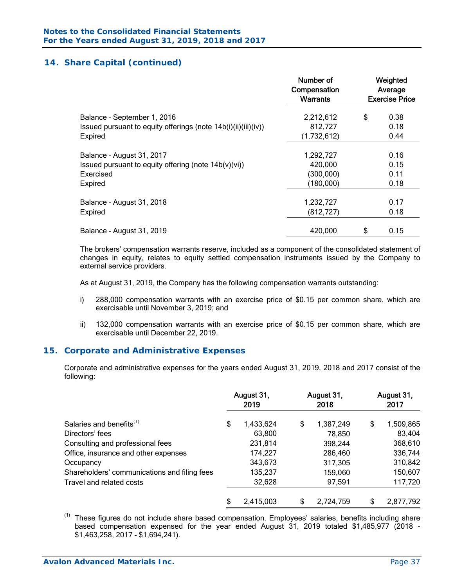|                                                                | Number of<br>Compensation<br><b>Warrants</b> | Weighted<br>Average<br><b>Exercise Price</b> |      |  |  |
|----------------------------------------------------------------|----------------------------------------------|----------------------------------------------|------|--|--|
| Balance - September 1, 2016                                    | 2,212,612                                    | \$                                           | 0.38 |  |  |
| Issued pursuant to equity offerings (note 14b(i)(ii)(iii)(iv)) | 812,727                                      |                                              | 0.18 |  |  |
| Expired                                                        | (1,732,612)                                  |                                              | 0.44 |  |  |
| Balance - August 31, 2017                                      | 1,292,727                                    |                                              | 0.16 |  |  |
| Issued pursuant to equity offering (note 14b(v)(vi))           | 420,000                                      |                                              | 0.15 |  |  |
| Exercised                                                      | (300,000)                                    |                                              | 0.11 |  |  |
| Expired                                                        | (180,000)                                    |                                              | 0.18 |  |  |
| Balance - August 31, 2018                                      | 1,232,727                                    |                                              | 0.17 |  |  |
| Expired                                                        | (812, 727)                                   |                                              | 0.18 |  |  |
| Balance - August 31, 2019                                      | 420,000                                      | \$                                           | 0.15 |  |  |

The brokers' compensation warrants reserve, included as a component of the consolidated statement of changes in equity, relates to equity settled compensation instruments issued by the Company to external service providers.

As at August 31, 2019, the Company has the following compensation warrants outstanding:

- i) 288,000 compensation warrants with an exercise price of \$0.15 per common share, which are exercisable until November 3, 2019; and
- ii) 132,000 compensation warrants with an exercise price of \$0.15 per common share, which are exercisable until December 22, 2019.

#### **15. Corporate and Administrative Expenses**

Corporate and administrative expenses for the years ended August 31, 2019, 2018 and 2017 consist of the following:

|                                              |    | August 31,<br>2019 | August 31,<br>2018 | August 31,<br>2017 |           |  |
|----------------------------------------------|----|--------------------|--------------------|--------------------|-----------|--|
| Salaries and benefits <sup>(1)</sup>         | \$ | 1,433,624          | \$<br>1,387,249    | \$                 | 1,509,865 |  |
| Directors' fees                              |    | 63,800             | 78,850             |                    | 83,404    |  |
| Consulting and professional fees             |    | 231,814            | 398,244            |                    | 368,610   |  |
| Office, insurance and other expenses         |    | 174,227            | 286,460            |                    | 336,744   |  |
| Occupancy                                    |    | 343,673            | 317,305            |                    | 310,842   |  |
| Shareholders' communications and filing fees |    | 135,237            | 159,060            |                    | 150,607   |  |
| Travel and related costs                     |    | 32,628             | 97,591             |                    | 117,720   |  |
|                                              | \$ | 2,415,003          | \$<br>2,724,759    | \$                 | 2,877,792 |  |

<sup>(1)</sup> These figures do not include share based compensation. Employees' salaries, benefits including share based compensation expensed for the year ended August 31, 2019 totaled \$1,485,977 (2018 - \$1,463,258, 2017 - \$1,694,241).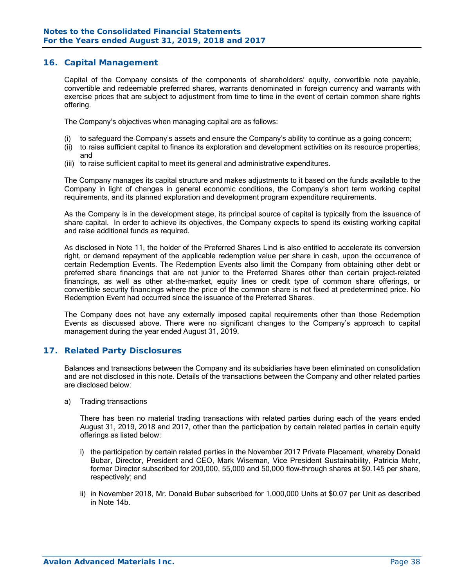### **16. Capital Management**

Capital of the Company consists of the components of shareholders' equity, convertible note payable, convertible and redeemable preferred shares, warrants denominated in foreign currency and warrants with exercise prices that are subject to adjustment from time to time in the event of certain common share rights offering.

The Company's objectives when managing capital are as follows:

- (i) to safeguard the Company's assets and ensure the Company's ability to continue as a going concern;
- (ii) to raise sufficient capital to finance its exploration and development activities on its resource properties; and
- (iii) to raise sufficient capital to meet its general and administrative expenditures.

The Company manages its capital structure and makes adjustments to it based on the funds available to the Company in light of changes in general economic conditions, the Company's short term working capital requirements, and its planned exploration and development program expenditure requirements.

As the Company is in the development stage, its principal source of capital is typically from the issuance of share capital. In order to achieve its objectives, the Company expects to spend its existing working capital and raise additional funds as required.

As disclosed in Note 11, the holder of the Preferred Shares Lind is also entitled to accelerate its conversion right, or demand repayment of the applicable redemption value per share in cash, upon the occurrence of certain Redemption Events. The Redemption Events also limit the Company from obtaining other debt or preferred share financings that are not junior to the Preferred Shares other than certain project-related financings, as well as other at-the-market, equity lines or credit type of common share offerings, or convertible security financings where the price of the common share is not fixed at predetermined price. No Redemption Event had occurred since the issuance of the Preferred Shares.

The Company does not have any externally imposed capital requirements other than those Redemption Events as discussed above. There were no significant changes to the Company's approach to capital management during the year ended August 31, 2019.

### **17. Related Party Disclosures**

Balances and transactions between the Company and its subsidiaries have been eliminated on consolidation and are not disclosed in this note. Details of the transactions between the Company and other related parties are disclosed below:

a) Trading transactions

There has been no material trading transactions with related parties during each of the years ended August 31, 2019, 2018 and 2017, other than the participation by certain related parties in certain equity offerings as listed below:

- i) the participation by certain related parties in the November 2017 Private Placement, whereby Donald Bubar, Director, President and CEO, Mark Wiseman, Vice President Sustainability, Patricia Mohr, former Director subscribed for 200,000, 55,000 and 50,000 flow-through shares at \$0.145 per share, respectively; and
- ii) in November 2018, Mr. Donald Bubar subscribed for 1,000,000 Units at \$0.07 per Unit as described in Note 14b.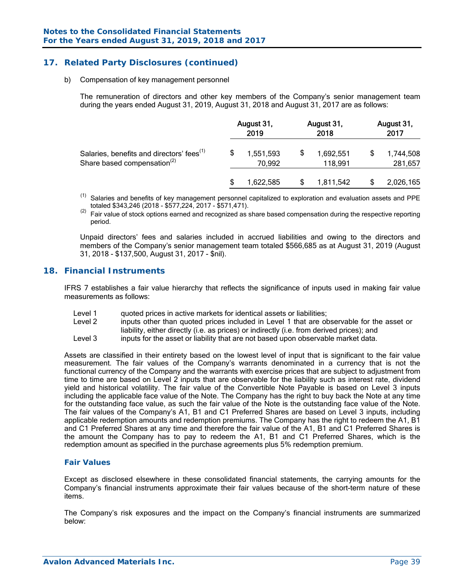### **17. Related Party Disclosures (continued)**

b) Compensation of key management personnel

The remuneration of directors and other key members of the Company's senior management team during the years ended August 31, 2019, August 31, 2018 and August 31, 2017 are as follows:

|                                                                                                  |  | August 31,<br>2019  | August 31,<br>2018   | August 31,<br>2017 |                      |  |
|--------------------------------------------------------------------------------------------------|--|---------------------|----------------------|--------------------|----------------------|--|
| Salaries, benefits and directors' fees <sup>(1)</sup><br>Share based compensation <sup>(2)</sup> |  | 1,551,593<br>70,992 | 1,692,551<br>118,991 |                    | 1,744,508<br>281,657 |  |
|                                                                                                  |  | 1,622,585           | 1,811,542            |                    | 2,026,165            |  |

- <sup>(1)</sup> Salaries and benefits of key management personnel capitalized to exploration and evaluation assets and PPE totaled \$343.246 (2018 \$577.224, 2017 \$571.471).
- $\frac{1}{2}$  Fair value of stock options earned and recognized as share based compensation during the respective reporting period.

Unpaid directors' fees and salaries included in accrued liabilities and owing to the directors and members of the Company's senior management team totaled \$566,685 as at August 31, 2019 (August 31, 2018 - \$137,500, August 31, 2017 - \$nil).

### **18. Financial Instruments**

IFRS 7 establishes a fair value hierarchy that reflects the significance of inputs used in making fair value measurements as follows:

- Level 1 duoted prices in active markets for identical assets or liabilities;<br>Level 2 linnuts other than quoted prices included in Level 1 that are of
- inputs other than quoted prices included in Level 1 that are observable for the asset or liability, either directly (i.e. as prices) or indirectly (i.e. from derived prices); and
- Level 3 inputs for the asset or liability that are not based upon observable market data.

Assets are classified in their entirety based on the lowest level of input that is significant to the fair value measurement. The fair values of the Company's warrants denominated in a currency that is not the functional currency of the Company and the warrants with exercise prices that are subject to adjustment from time to time are based on Level 2 inputs that are observable for the liability such as interest rate, dividend yield and historical volatility. The fair value of the Convertible Note Payable is based on Level 3 inputs including the applicable face value of the Note. The Company has the right to buy back the Note at any time for the outstanding face value, as such the fair value of the Note is the outstanding face value of the Note. The fair values of the Company's A1, B1 and C1 Preferred Shares are based on Level 3 inputs, including applicable redemption amounts and redemption premiums. The Company has the right to redeem the A1, B1 and C1 Preferred Shares at any time and therefore the fair value of the A1, B1 and C1 Preferred Shares is the amount the Company has to pay to redeem the A1, B1 and C1 Preferred Shares, which is the redemption amount as specified in the purchase agreements plus 5% redemption premium.

#### *Fair Values*

Except as disclosed elsewhere in these consolidated financial statements, the carrying amounts for the Company's financial instruments approximate their fair values because of the short-term nature of these items.

The Company's risk exposures and the impact on the Company's financial instruments are summarized below: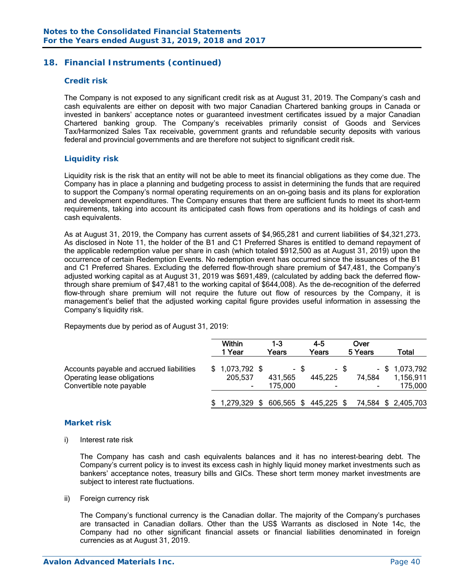### **18. Financial Instruments (continued)**

#### *Credit risk*

The Company is not exposed to any significant credit risk as at August 31, 2019. The Company's cash and cash equivalents are either on deposit with two major Canadian Chartered banking groups in Canada or invested in bankers' acceptance notes or guaranteed investment certificates issued by a major Canadian Chartered banking group. The Company's receivables primarily consist of Goods and Services Tax/Harmonized Sales Tax receivable, government grants and refundable security deposits with various federal and provincial governments and are therefore not subject to significant credit risk.

### *Liquidity risk*

Liquidity risk is the risk that an entity will not be able to meet its financial obligations as they come due. The Company has in place a planning and budgeting process to assist in determining the funds that are required to support the Company's normal operating requirements on an on-going basis and its plans for exploration and development expenditures. The Company ensures that there are sufficient funds to meet its short-term requirements, taking into account its anticipated cash flows from operations and its holdings of cash and cash equivalents.

As at August 31, 2019, the Company has current assets of \$4,965,281 and current liabilities of \$4,321,273. As disclosed in Note 11, the holder of the B1 and C1 Preferred Shares is entitled to demand repayment of the applicable redemption value per share in cash (which totaled \$912,500 as at August 31, 2019) upon the occurrence of certain Redemption Events. No redemption event has occurred since the issuances of the B1 and C1 Preferred Shares. Excluding the deferred flow-through share premium of \$47,481, the Company's adjusted working capital as at August 31, 2019 was \$691,489, (calculated by adding back the deferred flowthrough share premium of \$47,481 to the working capital of \$644,008). As the de-recognition of the deferred flow-through share premium will not require the future out flow of resources by the Company, it is management's belief that the adjusted working capital figure provides useful information in assessing the Company's liquidity risk.

Repayments due by period as of August 31, 2019:

|                                                                                                     | Within<br>1 Year                             |      | 1-3<br>Years       |      | 4-5<br>Years |      | Over<br>5 Years                    | Total                                    |
|-----------------------------------------------------------------------------------------------------|----------------------------------------------|------|--------------------|------|--------------|------|------------------------------------|------------------------------------------|
| Accounts payable and accrued liabilities<br>Operating lease obligations<br>Convertible note payable | $$1,073,792$ \$<br>205,537<br>$\blacksquare$ |      | 431,565<br>175.000 | - \$ | 445,225      | - \$ | 74,584<br>$\overline{\phantom{a}}$ | $-$ \$ 1,073,792<br>1,156,911<br>175.000 |
|                                                                                                     | \$1,279,329                                  | - \$ | 606,565 \$         |      | 445,225 \$   |      | 74,584                             | \$2,405,703                              |

#### *Market risk*

i) Interest rate risk

 The Company has cash and cash equivalents balances and it has no interest-bearing debt. The Company's current policy is to invest its excess cash in highly liquid money market investments such as bankers' acceptance notes, treasury bills and GICs. These short term money market investments are subject to interest rate fluctuations.

ii) Foreign currency risk

 The Company's functional currency is the Canadian dollar. The majority of the Company's purchases are transacted in Canadian dollars. Other than the US\$ Warrants as disclosed in Note 14c, the Company had no other significant financial assets or financial liabilities denominated in foreign currencies as at August 31, 2019.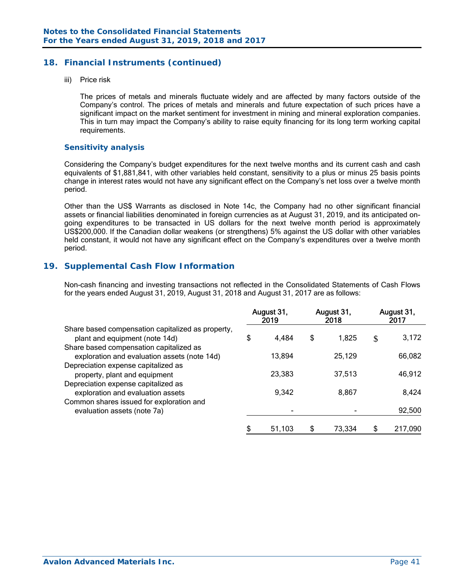### **18. Financial Instruments (continued)**

iii) Price risk

 The prices of metals and minerals fluctuate widely and are affected by many factors outside of the Company's control. The prices of metals and minerals and future expectation of such prices have a significant impact on the market sentiment for investment in mining and mineral exploration companies. This in turn may impact the Company's ability to raise equity financing for its long term working capital requirements.

#### *Sensitivity analysis*

 Considering the Company's budget expenditures for the next twelve months and its current cash and cash equivalents of \$1,881,841, with other variables held constant, sensitivity to a plus or minus 25 basis points change in interest rates would not have any significant effect on the Company's net loss over a twelve month period.

Other than the US\$ Warrants as disclosed in Note 14c, the Company had no other significant financial assets or financial liabilities denominated in foreign currencies as at August 31, 2019, and its anticipated ongoing expenditures to be transacted in US dollars for the next twelve month period is approximately US\$200,000. If the Canadian dollar weakens (or strengthens) 5% against the US dollar with other variables held constant, it would not have any significant effect on the Company's expenditures over a twelve month period.

### **19. Supplemental Cash Flow Information**

Non-cash financing and investing transactions not reflected in the Consolidated Statements of Cash Flows for the years ended August 31, 2019, August 31, 2018 and August 31, 2017 are as follows:

|                                                                                         | August 31,<br>2019 |        | August 31,<br>2018 |        | August 31,<br>2017 |         |
|-----------------------------------------------------------------------------------------|--------------------|--------|--------------------|--------|--------------------|---------|
| Share based compensation capitalized as property,<br>plant and equipment (note 14d)     | \$                 | 4,484  | \$                 | 1,825  | \$                 | 3,172   |
| Share based compensation capitalized as<br>exploration and evaluation assets (note 14d) |                    | 13,894 |                    | 25,129 |                    | 66,082  |
| Depreciation expense capitalized as<br>property, plant and equipment                    |                    | 23,383 |                    | 37,513 |                    | 46,912  |
| Depreciation expense capitalized as<br>exploration and evaluation assets                |                    | 9.342  |                    | 8,867  |                    | 8,424   |
| Common shares issued for exploration and<br>evaluation assets (note 7a)                 |                    |        |                    |        |                    | 92,500  |
|                                                                                         | \$                 | 51.103 | \$                 | 73,334 | \$                 | 217,090 |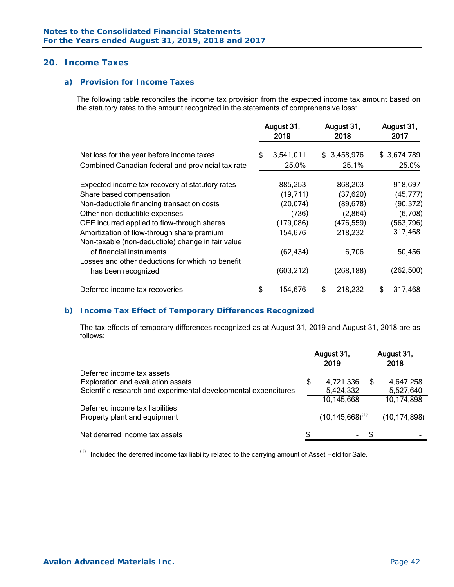### **20. Income Taxes**

### *a) Provision for Income Taxes*

The following table reconciles the income tax provision from the expected income tax amount based on the statutory rates to the amount recognized in the statements of comprehensive loss:

|                                                                                                 | August 31,<br>2019 |            | August 31,<br>2018 |             | August 31,<br>2017 |             |
|-------------------------------------------------------------------------------------------------|--------------------|------------|--------------------|-------------|--------------------|-------------|
| Net loss for the year before income taxes                                                       | \$                 | 3,541,011  |                    | \$3,458,976 |                    | \$3,674,789 |
| Combined Canadian federal and provincial tax rate                                               |                    | 25.0%      |                    | 25.1%       |                    | 25.0%       |
| Expected income tax recovery at statutory rates                                                 |                    | 885,253    |                    | 868,203     |                    | 918,697     |
| Share based compensation                                                                        |                    | (19,711)   |                    | (37, 620)   |                    | (45, 777)   |
| Non-deductible financing transaction costs                                                      |                    | (20, 074)  |                    | (89, 678)   |                    | (90, 372)   |
| Other non-deductible expenses                                                                   |                    | (736)      |                    | (2,864)     |                    | (6,708)     |
| CEE incurred applied to flow-through shares                                                     |                    | (179,086)  |                    | (476, 559)  |                    | (563, 796)  |
| Amortization of flow-through share premium<br>Non-taxable (non-deductible) change in fair value |                    | 154,676    |                    | 218,232     |                    | 317,468     |
| of financial instruments                                                                        |                    | (62, 434)  |                    | 6,706       |                    | 50,456      |
| Losses and other deductions for which no benefit<br>has been recognized                         |                    | (603, 212) |                    | (268, 188)  |                    | (262, 500)  |
| Deferred income tax recoveries                                                                  |                    | 154,676    | \$                 | 218,232     | S                  | 317,468     |

#### *b) Income Tax Effect of Temporary Differences Recognized*

 The tax effects of temporary differences recognized as at August 31, 2019 and August 31, 2018 are as follows:

|                                                                 | August 31,<br>2019 |                        | August 31,<br>2018 |                |
|-----------------------------------------------------------------|--------------------|------------------------|--------------------|----------------|
| Deferred income tax assets                                      |                    |                        |                    |                |
| Exploration and evaluation assets                               | \$                 | 4,721,336              | S                  | 4,647,258      |
| Scientific research and experimental developmental expenditures |                    | 5,424,332              |                    | 5,527,640      |
|                                                                 |                    | 10,145,668             |                    | 10,174,898     |
| Deferred income tax liabilities                                 |                    |                        |                    |                |
| Property plant and equipment                                    |                    | $(10, 145, 668)^{(1)}$ |                    | (10, 174, 898) |
|                                                                 |                    |                        |                    |                |
| Net deferred income tax assets                                  |                    |                        | S                  |                |

 $(1)$  Included the deferred income tax liability related to the carrying amount of Asset Held for Sale.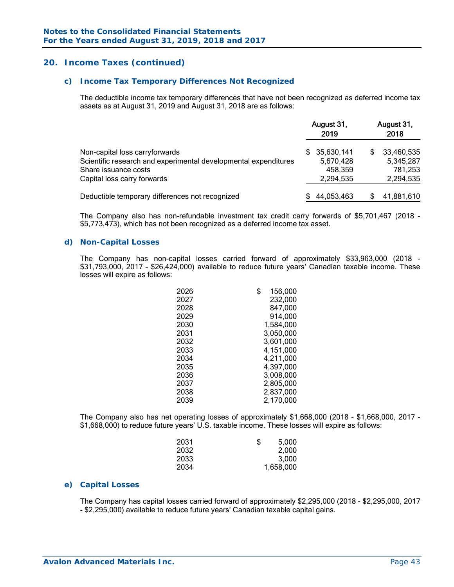### **20. Income Taxes (continued)**

#### *c) Income Tax Temporary Differences Not Recognized*

 The deductible income tax temporary differences that have not been recognized as deferred income tax assets as at August 31, 2019 and August 31, 2018 are as follows:

|                                                                 |     | August 31,<br>2019 |   | August 31,<br>2018 |
|-----------------------------------------------------------------|-----|--------------------|---|--------------------|
| Non-capital loss carryforwards                                  | SS. | 35,630,141         | S | 33,460,535         |
| Scientific research and experimental developmental expenditures |     | 5,670,428          |   | 5,345,287          |
| Share issuance costs                                            |     | 458,359            |   | 781,253            |
| Capital loss carry forwards                                     |     | 2,294,535          |   | 2,294,535          |
| Deductible temporary differences not recognized                 |     | 44,053,463         |   | 41,881,610         |

The Company also has non-refundable investment tax credit carry forwards of \$5,701,467 (2018 - \$5,773,473), which has not been recognized as a deferred income tax asset.

#### *d) Non-Capital Losses*

The Company has non-capital losses carried forward of approximately \$33,963,000 (2018 - \$31,793,000, 2017 – \$26,424,000) available to reduce future years' Canadian taxable income. These losses will expire as follows:

| \$<br>156,000 |
|---------------|
| 232,000       |
| 847,000       |
| 914,000       |
| 1,584,000     |
| 3,050,000     |
| 3,601,000     |
| 4,151,000     |
| 4,211,000     |
| 4,397,000     |
| 3,008,000     |
| 2,805,000     |
| 2,837,000     |
| 2,170,000     |
|               |

 The Company also has net operating losses of approximately \$1,668,000 (2018 - \$1,668,000, 2017 - \$1,668,000) to reduce future years' U.S. taxable income. These losses will expire as follows:

| 2031<br>\$ | 5,000     |
|------------|-----------|
| 2032       | 2,000     |
| 2033       | 3,000     |
| 2034       | 1,658,000 |

#### *e) Capital Losses*

 The Company has capital losses carried forward of approximately \$2,295,000 (2018 - \$2,295,000, 2017 - \$2,295,000) available to reduce future years' Canadian taxable capital gains.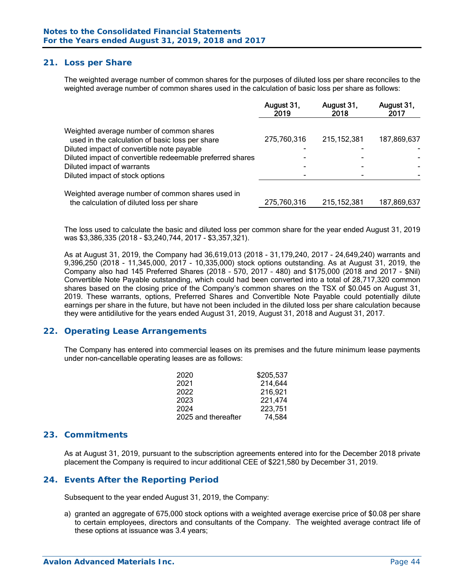### **21. Loss per Share**

The weighted average number of common shares for the purposes of diluted loss per share reconciles to the weighted average number of common shares used in the calculation of basic loss per share as follows:

|                                                                                               | August 31,<br>2019 | August 31,<br>2018 | August 31,<br>2017 |
|-----------------------------------------------------------------------------------------------|--------------------|--------------------|--------------------|
| Weighted average number of common shares<br>used in the calculation of basic loss per share   | 275,760,316        | 215, 152, 381      | 187,869,637        |
| Diluted impact of convertible note payable                                                    |                    |                    |                    |
| Diluted impact of convertible redeemable preferred shares                                     |                    |                    |                    |
| Diluted impact of warrants                                                                    |                    |                    |                    |
| Diluted impact of stock options                                                               |                    |                    |                    |
| Weighted average number of common shares used in<br>the calculation of diluted loss per share | 275,760,316        | 215, 152, 381      | 187,869,637        |
|                                                                                               |                    |                    |                    |

The loss used to calculate the basic and diluted loss per common share for the year ended August 31, 2019 was \$3,386,335 (2018 - \$3,240,744, 2017 - \$3,357,321).

As at August 31, 2019, the Company had 36,619,013 (2018 - 31,179,240, 2017 - 24,649,240) warrants and 9,396,250 (2018 - 11,345,000, 2017 - 10,335,000) stock options outstanding. As at August 31, 2019, the Company also had 145 Preferred Shares (2018 – 570, 2017 – 480) and \$175,000 (2018 and 2017 - \$Nil) Convertible Note Payable outstanding, which could had been converted into a total of 28,717,320 common shares based on the closing price of the Company's common shares on the TSX of \$0.045 on August 31, 2019. These warrants, options, Preferred Shares and Convertible Note Payable could potentially dilute earnings per share in the future, but have not been included in the diluted loss per share calculation because they were antidilutive for the years ended August 31, 2019, August 31, 2018 and August 31, 2017.

#### **22. Operating Lease Arrangements**

The Company has entered into commercial leases on its premises and the future minimum lease payments under non-cancellable operating leases are as follows:

| 2020                | \$205,537 |
|---------------------|-----------|
| 2021                | 214,644   |
| 2022                | 216.921   |
| 2023                | 221,474   |
| 2024                | 223.751   |
| 2025 and thereafter | 74.584    |

#### **23. Commitments**

As at August 31, 2019, pursuant to the subscription agreements entered into for the December 2018 private placement the Company is required to incur additional CEE of \$221,580 by December 31, 2019.

#### **24. Events After the Reporting Period**

Subsequent to the year ended August 31, 2019, the Company:

a) granted an aggregate of 675,000 stock options with a weighted average exercise price of \$0.08 per share to certain employees, directors and consultants of the Company. The weighted average contract life of these options at issuance was 3.4 years;